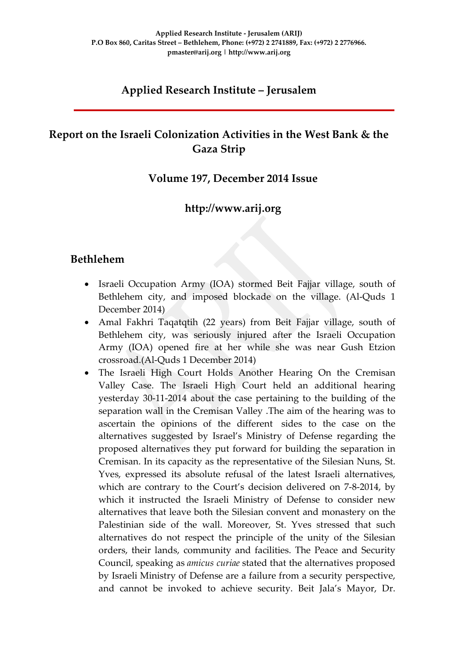### **Applied Research Institute – Jerusalem**

### **Report on the Israeli Colonization Activities in the West Bank & the Gaza Strip**

#### **Volume 197, December 2014 Issue**

#### **http://www.arij.org**

#### **Bethlehem**

- Israeli Occupation Army (IOA) stormed Beit Fajjar village, south of Bethlehem city, and imposed blockade on the village. (Al-Quds 1 December 2014)
- Amal Fakhri Taqatqtih (22 years) from Beit Fajjar village, south of Bethlehem city, was seriously injured after the Israeli Occupation Army (IOA) opened fire at her while she was near Gush Etzion crossroad.(Al-Quds 1 December 2014)
- The Israeli High Court Holds Another Hearing On the Cremisan Valley Case. The Israeli High Court held an additional hearing yesterday 30-11-2014 about the case pertaining to the building of the separation wall in the Cremisan Valley .The aim of the hearing was to ascertain the opinions of the different sides to the case on the alternatives suggested by Israel's Ministry of Defense regarding the proposed alternatives they put forward for building the separation in Cremisan. In its capacity as the representative of the Silesian Nuns, St. Yves, expressed its absolute refusal of the latest Israeli alternatives, which are contrary to the Court's decision delivered on 7-8-2014, by which it instructed the Israeli Ministry of Defense to consider new alternatives that leave both the Silesian convent and monastery on the Palestinian side of the wall. Moreover, St. Yves stressed that such alternatives do not respect the principle of the unity of the Silesian orders, their lands, community and facilities. The Peace and Security Council, speaking as *amicus curiae* stated that the alternatives proposed by Israeli Ministry of Defense are a failure from a security perspective, and cannot be invoked to achieve security. Beit Jala's Mayor, Dr.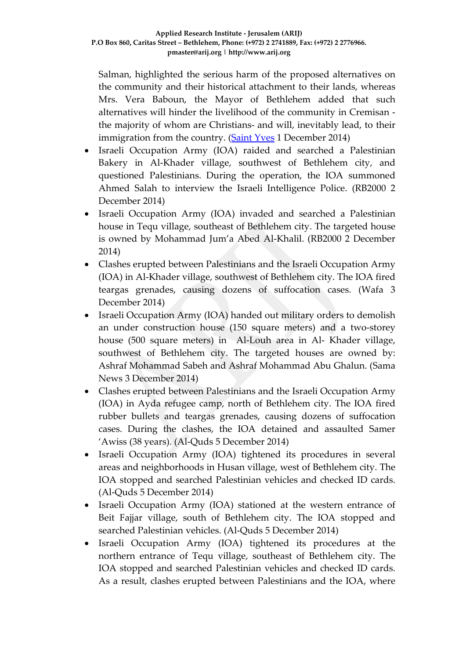Salman, highlighted the serious harm of the proposed alternatives on the community and their historical attachment to their lands, whereas Mrs. Vera Baboun, the Mayor of Bethlehem added that such alternatives will hinder the livelihood of the community in Cremisan the majority of whom are Christians- and will, inevitably lead, to their immigration from the country. [\(Saint Yves](http://saintyves.org/index.php?option=com_content&view=article&id=217%3Athe-israeli-high-court-holds-another-hearing-on-the-cremisan-valley-case&catid=49%3Apress-release&Itemid=18&lang=en) 1 December 2014)

- Israeli Occupation Army (IOA) raided and searched a Palestinian Bakery in Al-Khader village, southwest of Bethlehem city, and questioned Palestinians. During the operation, the IOA summoned Ahmed Salah to interview the Israeli Intelligence Police. (RB2000 2 December 2014)
- Israeli Occupation Army (IOA) invaded and searched a Palestinian house in Tequ village, southeast of Bethlehem city. The targeted house is owned by Mohammad Jum'a Abed Al-Khalil. (RB2000 2 December 2014)
- Clashes erupted between Palestinians and the Israeli Occupation Army (IOA) in Al-Khader village, southwest of Bethlehem city. The IOA fired teargas grenades, causing dozens of suffocation cases. (Wafa 3 December 2014)
- Israeli Occupation Army (IOA) handed out military orders to demolish an under construction house (150 square meters) and a two-storey house (500 square meters) in Al-Louh area in Al- Khader village, southwest of Bethlehem city. The targeted houses are owned by: Ashraf Mohammad Sabeh and Ashraf Mohammad Abu Ghalun. (Sama News 3 December 2014)
- Clashes erupted between Palestinians and the Israeli Occupation Army (IOA) in Ayda refugee camp, north of Bethlehem city. The IOA fired rubber bullets and teargas grenades, causing dozens of suffocation cases. During the clashes, the IOA detained and assaulted Samer 'Awiss (38 years). (Al-Quds 5 December 2014)
- Israeli Occupation Army (IOA) tightened its procedures in several areas and neighborhoods in Husan village, west of Bethlehem city. The IOA stopped and searched Palestinian vehicles and checked ID cards. (Al-Quds 5 December 2014)
- Israeli Occupation Army (IOA) stationed at the western entrance of Beit Fajjar village, south of Bethlehem city. The IOA stopped and searched Palestinian vehicles. (Al-Quds 5 December 2014)
- Israeli Occupation Army (IOA) tightened its procedures at the northern entrance of Tequ village, southeast of Bethlehem city. The IOA stopped and searched Palestinian vehicles and checked ID cards. As a result, clashes erupted between Palestinians and the IOA, where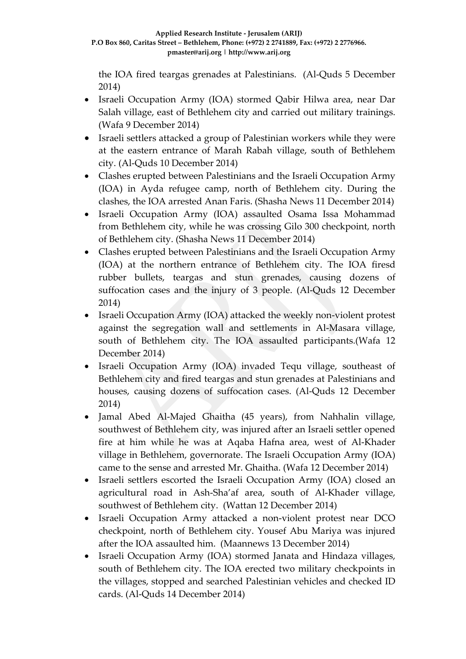the IOA fired teargas grenades at Palestinians. (Al-Quds 5 December 2014)

- Israeli Occupation Army (IOA) stormed Qabir Hilwa area, near Dar Salah village, east of Bethlehem city and carried out military trainings. (Wafa 9 December 2014)
- Israeli settlers attacked a group of Palestinian workers while they were at the eastern entrance of Marah Rabah village, south of Bethlehem city. (Al-Quds 10 December 2014)
- Clashes erupted between Palestinians and the Israeli Occupation Army (IOA) in Ayda refugee camp, north of Bethlehem city. During the clashes, the IOA arrested Anan Faris. (Shasha News 11 December 2014)
- Israeli Occupation Army (IOA) assaulted Osama Issa Mohammad from Bethlehem city, while he was crossing Gilo 300 checkpoint, north of Bethlehem city. (Shasha News 11 December 2014)
- Clashes erupted between Palestinians and the Israeli Occupation Army (IOA) at the northern entrance of Bethlehem city. The IOA firesd rubber bullets, teargas and stun grenades, causing dozens of suffocation cases and the injury of 3 people. (Al-Quds 12 December 2014)
- Israeli Occupation Army (IOA) attacked the weekly non-violent protest against the segregation wall and settlements in Al-Masara village, south of Bethlehem city. The IOA assaulted participants.(Wafa 12 December 2014)
- Israeli Occupation Army (IOA) invaded Tequ village, southeast of Bethlehem city and fired teargas and stun grenades at Palestinians and houses, causing dozens of suffocation cases. (Al-Quds 12 December 2014)
- Jamal Abed Al-Majed Ghaitha (45 years), from Nahhalin village, southwest of Bethlehem city, was injured after an Israeli settler opened fire at him while he was at Aqaba Hafna area, west of Al-Khader village in Bethlehem, governorate. The Israeli Occupation Army (IOA) came to the sense and arrested Mr. Ghaitha. (Wafa 12 December 2014)
- Israeli settlers escorted the Israeli Occupation Army (IOA) closed an agricultural road in Ash-Sha'af area, south of Al-Khader village, southwest of Bethlehem city. (Wattan 12 December 2014)
- Israeli Occupation Army attacked a non-violent protest near DCO checkpoint, north of Bethlehem city. Yousef Abu Mariya was injured after the IOA assaulted him. (Maannews 13 December 2014)
- Israeli Occupation Army (IOA) stormed Janata and Hindaza villages, south of Bethlehem city. The IOA erected two military checkpoints in the villages, stopped and searched Palestinian vehicles and checked ID cards. (Al-Quds 14 December 2014)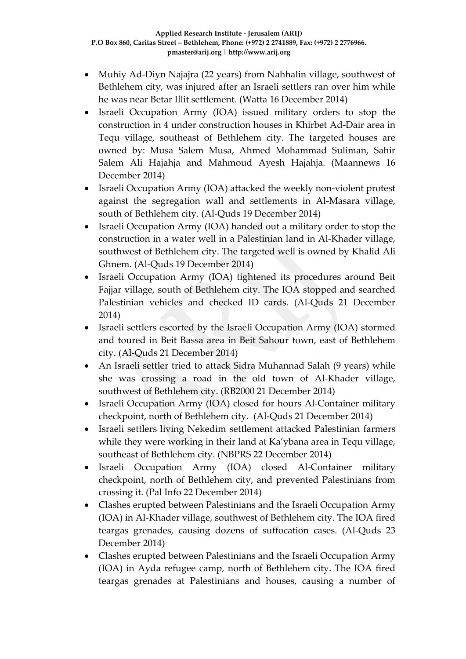- Muhiy Ad-Diyn Najajra (22 years) from Nahhalin village, southwest of Bethlehem city, was injured after an Israeli settlers ran over him while he was near Betar Illit settlement. (Watta 16 December 2014)
- Israeli Occupation Army (IOA) issued military orders to stop the construction in 4 under construction houses in Khirbet Ad-Dair area in Tequ village, southeast of Bethlehem city. The targeted houses are owned by: Musa Salem Musa, Ahmed Mohammad Suliman, Sahir Salem Ali Hajahja and Mahmoud Ayesh Hajahja. (Maannews 16 December 2014)
- Israeli Occupation Army (IOA) attacked the weekly non-violent protest against the segregation wall and settlements in Al-Masara village, south of Bethlehem city. (Al-Quds 19 December 2014)
- Israeli Occupation Army (IOA) handed out a military order to stop the construction in a water well in a Palestinian land in Al-Khader village, southwest of Bethlehem city. The targeted well is owned by Khalid Ali Ghnem. (Al-Quds 19 December 2014)
- Israeli Occupation Army (IOA) tightened its procedures around Beit Fajjar village, south of Bethlehem city. The IOA stopped and searched Palestinian vehicles and checked ID cards. (Al-Quds 21 December 2014)
- Israeli settlers escorted by the Israeli Occupation Army (IOA) stormed and toured in Beit Bassa area in Beit Sahour town, east of Bethlehem city. (Al-Quds 21 December 2014)
- An Israeli settler tried to attack Sidra Muhannad Salah (9 years) while she was crossing a road in the old town of Al-Khader village, southwest of Bethlehem city. (RB2000 21 December 2014)
- Israeli Occupation Army (IOA) closed for hours Al-Container military checkpoint, north of Bethlehem city. (Al-Quds 21 December 2014)
- Israeli settlers living Nekedim settlement attacked Palestinian farmers while they were working in their land at Ka'ybana area in Tequ village, southeast of Bethlehem city. (NBPRS 22 December 2014)
- Israeli Occupation Army (IOA) closed Al-Container military checkpoint, north of Bethlehem city, and prevented Palestinians from crossing it. (Pal Info 22 December 2014)
- Clashes erupted between Palestinians and the Israeli Occupation Army (IOA) in Al-Khader village, southwest of Bethlehem city. The IOA fired teargas grenades, causing dozens of suffocation cases. (Al-Quds 23 December 2014)
- Clashes erupted between Palestinians and the Israeli Occupation Army (IOA) in Ayda refugee camp, north of Bethlehem city. The IOA fired teargas grenades at Palestinians and houses, causing a number of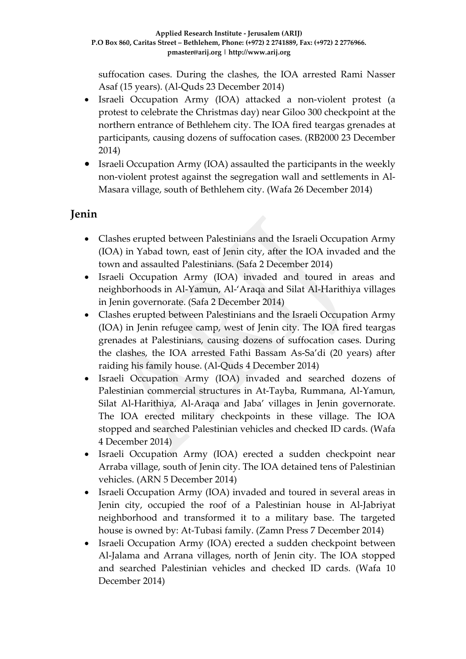suffocation cases. During the clashes, the IOA arrested Rami Nasser Asaf (15 years). (Al-Quds 23 December 2014)

- Israeli Occupation Army (IOA) attacked a non-violent protest (a protest to celebrate the Christmas day) near Giloo 300 checkpoint at the northern entrance of Bethlehem city. The IOA fired teargas grenades at participants, causing dozens of suffocation cases. (RB2000 23 December 2014)
- Israeli Occupation Army (IOA) assaulted the participants in the weekly non-violent protest against the segregation wall and settlements in Al-Masara village, south of Bethlehem city. (Wafa 26 December 2014)

## **Jenin**

- Clashes erupted between Palestinians and the Israeli Occupation Army (IOA) in Yabad town, east of Jenin city, after the IOA invaded and the town and assaulted Palestinians. (Safa 2 December 2014)
- Israeli Occupation Army (IOA) invaded and toured in areas and neighborhoods in Al-Yamun, Al-'Araqa and Silat Al-Harithiya villages in Jenin governorate. (Safa 2 December 2014)
- Clashes erupted between Palestinians and the Israeli Occupation Army (IOA) in Jenin refugee camp, west of Jenin city. The IOA fired teargas grenades at Palestinians, causing dozens of suffocation cases. During the clashes, the IOA arrested Fathi Bassam As-Sa'di (20 years) after raiding his family house. (Al-Quds 4 December 2014)
- Israeli Occupation Army (IOA) invaded and searched dozens of Palestinian commercial structures in At-Tayba, Rummana, Al-Yamun, Silat Al-Harithiya, Al-Araqa and Jaba' villages in Jenin governorate. The IOA erected military checkpoints in these village. The IOA stopped and searched Palestinian vehicles and checked ID cards. (Wafa 4 December 2014)
- Israeli Occupation Army (IOA) erected a sudden checkpoint near Arraba village, south of Jenin city. The IOA detained tens of Palestinian vehicles. (ARN 5 December 2014)
- Israeli Occupation Army (IOA) invaded and toured in several areas in Jenin city, occupied the roof of a Palestinian house in Al-Jabriyat neighborhood and transformed it to a military base. The targeted house is owned by: At-Tubasi family. (Zamn Press 7 December 2014)
- Israeli Occupation Army (IOA) erected a sudden checkpoint between Al-Jalama and Arrana villages, north of Jenin city. The IOA stopped and searched Palestinian vehicles and checked ID cards. (Wafa 10 December 2014)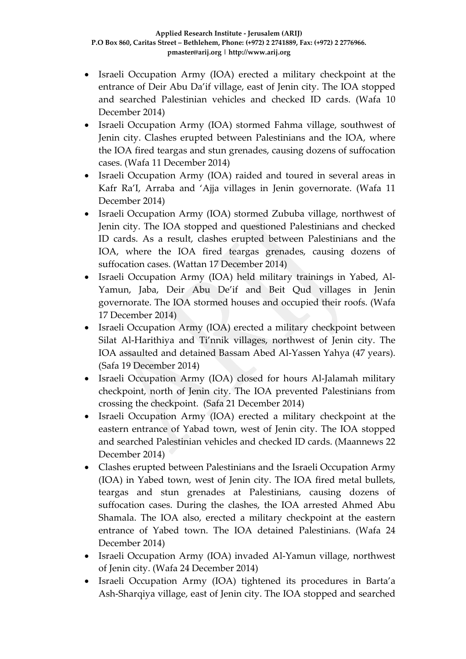- Israeli Occupation Army (IOA) erected a military checkpoint at the entrance of Deir Abu Da'if village, east of Jenin city. The IOA stopped and searched Palestinian vehicles and checked ID cards. (Wafa 10 December 2014)
- Israeli Occupation Army (IOA) stormed Fahma village, southwest of Jenin city. Clashes erupted between Palestinians and the IOA, where the IOA fired teargas and stun grenades, causing dozens of suffocation cases. (Wafa 11 December 2014)
- Israeli Occupation Army (IOA) raided and toured in several areas in Kafr Ra'I, Arraba and 'Ajja villages in Jenin governorate. (Wafa 11 December 2014)
- Israeli Occupation Army (IOA) stormed Zububa village, northwest of Jenin city. The IOA stopped and questioned Palestinians and checked ID cards. As a result, clashes erupted between Palestinians and the IOA, where the IOA fired teargas grenades, causing dozens of suffocation cases. (Wattan 17 December 2014)
- Israeli Occupation Army (IOA) held military trainings in Yabed, Al-Yamun, Jaba, Deir Abu De'if and Beit Qud villages in Jenin governorate. The IOA stormed houses and occupied their roofs. (Wafa 17 December 2014)
- Israeli Occupation Army (IOA) erected a military checkpoint between Silat Al-Harithiya and Ti'nnik villages, northwest of Jenin city. The IOA assaulted and detained Bassam Abed Al-Yassen Yahya (47 years). (Safa 19 December 2014)
- Israeli Occupation Army (IOA) closed for hours Al-Jalamah military checkpoint, north of Jenin city. The IOA prevented Palestinians from crossing the checkpoint. (Safa 21 December 2014)
- Israeli Occupation Army (IOA) erected a military checkpoint at the eastern entrance of Yabad town, west of Jenin city. The IOA stopped and searched Palestinian vehicles and checked ID cards. (Maannews 22 December 2014)
- Clashes erupted between Palestinians and the Israeli Occupation Army (IOA) in Yabed town, west of Jenin city. The IOA fired metal bullets, teargas and stun grenades at Palestinians, causing dozens of suffocation cases. During the clashes, the IOA arrested Ahmed Abu Shamala. The IOA also, erected a military checkpoint at the eastern entrance of Yabed town. The IOA detained Palestinians. (Wafa 24 December 2014)
- Israeli Occupation Army (IOA) invaded Al-Yamun village, northwest of Jenin city. (Wafa 24 December 2014)
- Israeli Occupation Army (IOA) tightened its procedures in Barta'a Ash-Sharqiya village, east of Jenin city. The IOA stopped and searched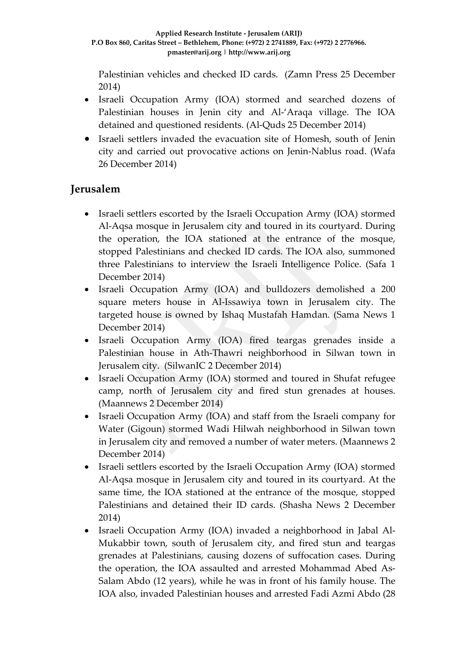Palestinian vehicles and checked ID cards. (Zamn Press 25 December 2014)

- Israeli Occupation Army (IOA) stormed and searched dozens of Palestinian houses in Jenin city and Al-'Araqa village. The IOA detained and questioned residents. (Al-Quds 25 December 2014)
- Israeli settlers invaded the evacuation site of Homesh, south of Jenin city and carried out provocative actions on Jenin-Nablus road. (Wafa 26 December 2014)

### **Jerusalem**

- Israeli settlers escorted by the Israeli Occupation Army (IOA) stormed Al-Aqsa mosque in Jerusalem city and toured in its courtyard. During the operation, the IOA stationed at the entrance of the mosque, stopped Palestinians and checked ID cards. The IOA also, summoned three Palestinians to interview the Israeli Intelligence Police. (Safa 1 December 2014)
- Israeli Occupation Army (IOA) and bulldozers demolished a 200 square meters house in Al-Issawiya town in Jerusalem city. The targeted house is owned by Ishaq Mustafah Hamdan. (Sama News 1 December 2014)
- Israeli Occupation Army (IOA) fired teargas grenades inside a Palestinian house in Ath-Thawri neighborhood in Silwan town in Jerusalem city. (SilwanIC 2 December 2014)
- Israeli Occupation Army (IOA) stormed and toured in Shufat refugee camp, north of Jerusalem city and fired stun grenades at houses. (Maannews 2 December 2014)
- Israeli Occupation Army (IOA) and staff from the Israeli company for Water (Gigoun) stormed Wadi Hilwah neighborhood in Silwan town in Jerusalem city and removed a number of water meters. (Maannews 2 December 2014)
- Israeli settlers escorted by the Israeli Occupation Army (IOA) stormed Al-Aqsa mosque in Jerusalem city and toured in its courtyard. At the same time, the IOA stationed at the entrance of the mosque, stopped Palestinians and detained their ID cards. (Shasha News 2 December 2014)
- Israeli Occupation Army (IOA) invaded a neighborhood in Jabal Al-Mukabbir town, south of Jerusalem city, and fired stun and teargas grenades at Palestinians, causing dozens of suffocation cases. During the operation, the IOA assaulted and arrested Mohammad Abed As-Salam Abdo (12 years), while he was in front of his family house. The IOA also, invaded Palestinian houses and arrested Fadi Azmi Abdo (28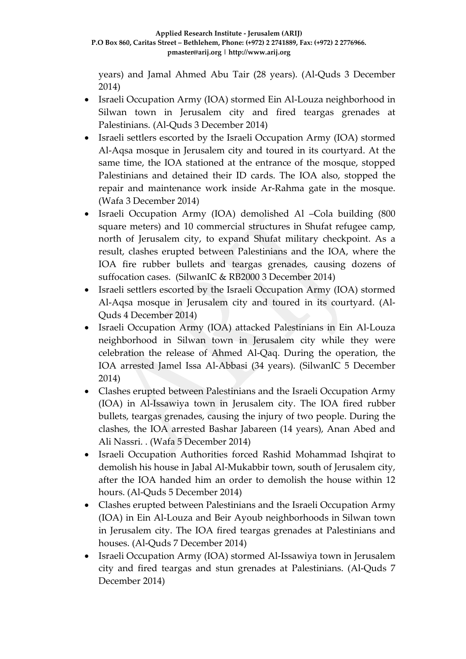years) and Jamal Ahmed Abu Tair (28 years). (Al-Quds 3 December 2014)

- Israeli Occupation Army (IOA) stormed Ein Al-Louza neighborhood in Silwan town in Jerusalem city and fired teargas grenades at Palestinians. (Al-Quds 3 December 2014)
- Israeli settlers escorted by the Israeli Occupation Army (IOA) stormed Al-Aqsa mosque in Jerusalem city and toured in its courtyard. At the same time, the IOA stationed at the entrance of the mosque, stopped Palestinians and detained their ID cards. The IOA also, stopped the repair and maintenance work inside Ar-Rahma gate in the mosque. (Wafa 3 December 2014)
- Israeli Occupation Army (IOA) demolished Al –Cola building (800 square meters) and 10 commercial structures in Shufat refugee camp, north of Jerusalem city, to expand Shufat military checkpoint. As a result, clashes erupted between Palestinians and the IOA, where the IOA fire rubber bullets and teargas grenades, causing dozens of suffocation cases. (SilwanIC & RB2000 3 December 2014)
- Israeli settlers escorted by the Israeli Occupation Army (IOA) stormed Al-Aqsa mosque in Jerusalem city and toured in its courtyard. (Al-Quds 4 December 2014)
- Israeli Occupation Army (IOA) attacked Palestinians in Ein Al-Louza neighborhood in Silwan town in Jerusalem city while they were celebration the release of Ahmed Al-Qaq. During the operation, the IOA arrested Jamel Issa Al-Abbasi (34 years). (SilwanIC 5 December 2014)
- Clashes erupted between Palestinians and the Israeli Occupation Army (IOA) in Al-Issawiya town in Jerusalem city. The IOA fired rubber bullets, teargas grenades, causing the injury of two people. During the clashes, the IOA arrested Bashar Jabareen (14 years), Anan Abed and Ali Nassri. . (Wafa 5 December 2014)
- Israeli Occupation Authorities forced Rashid Mohammad Ishqirat to demolish his house in Jabal Al-Mukabbir town, south of Jerusalem city, after the IOA handed him an order to demolish the house within 12 hours. (Al-Quds 5 December 2014)
- Clashes erupted between Palestinians and the Israeli Occupation Army (IOA) in Ein Al-Louza and Beir Ayoub neighborhoods in Silwan town in Jerusalem city. The IOA fired teargas grenades at Palestinians and houses. (Al-Quds 7 December 2014)
- Israeli Occupation Army (IOA) stormed Al-Issawiya town in Jerusalem city and fired teargas and stun grenades at Palestinians. (Al-Quds 7 December 2014)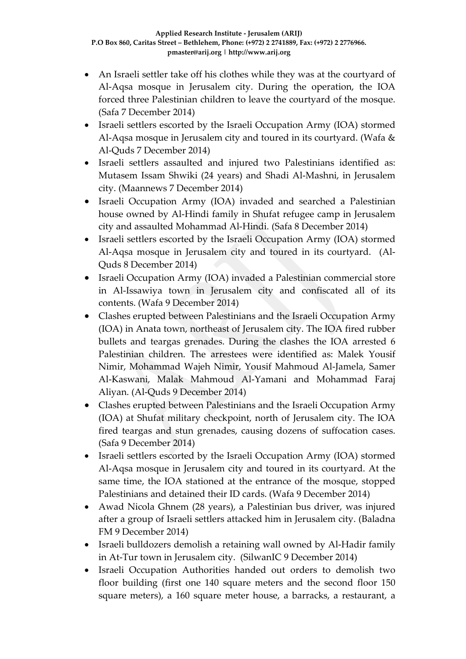- An Israeli settler take off his clothes while they was at the courtyard of Al-Aqsa mosque in Jerusalem city. During the operation, the IOA forced three Palestinian children to leave the courtyard of the mosque. (Safa 7 December 2014)
- Israeli settlers escorted by the Israeli Occupation Army (IOA) stormed Al-Aqsa mosque in Jerusalem city and toured in its courtyard. (Wafa & Al-Quds 7 December 2014)
- Israeli settlers assaulted and injured two Palestinians identified as: Mutasem Issam Shwiki (24 years) and Shadi Al-Mashni, in Jerusalem city. (Maannews 7 December 2014)
- Israeli Occupation Army (IOA) invaded and searched a Palestinian house owned by Al-Hindi family in Shufat refugee camp in Jerusalem city and assaulted Mohammad Al-Hindi. (Safa 8 December 2014)
- Israeli settlers escorted by the Israeli Occupation Army (IOA) stormed Al-Aqsa mosque in Jerusalem city and toured in its courtyard. (Al-Quds 8 December 2014)
- Israeli Occupation Army (IOA) invaded a Palestinian commercial store in Al-Issawiya town in Jerusalem city and confiscated all of its contents. (Wafa 9 December 2014)
- Clashes erupted between Palestinians and the Israeli Occupation Army (IOA) in Anata town, northeast of Jerusalem city. The IOA fired rubber bullets and teargas grenades. During the clashes the IOA arrested 6 Palestinian children. The arrestees were identified as: Malek Yousif Nimir, Mohammad Wajeh Nimir, Yousif Mahmoud Al-Jamela, Samer Al-Kaswani, Malak Mahmoud Al-Yamani and Mohammad Faraj Aliyan. (Al-Quds 9 December 2014)
- Clashes erupted between Palestinians and the Israeli Occupation Army (IOA) at Shufat military checkpoint, north of Jerusalem city. The IOA fired teargas and stun grenades, causing dozens of suffocation cases. (Safa 9 December 2014)
- Israeli settlers escorted by the Israeli Occupation Army (IOA) stormed Al-Aqsa mosque in Jerusalem city and toured in its courtyard. At the same time, the IOA stationed at the entrance of the mosque, stopped Palestinians and detained their ID cards. (Wafa 9 December 2014)
- Awad Nicola Ghnem (28 years), a Palestinian bus driver, was injured after a group of Israeli settlers attacked him in Jerusalem city. (Baladna FM 9 December 2014)
- Israeli bulldozers demolish a retaining wall owned by Al-Hadir family in At-Tur town in Jerusalem city. (SilwanIC 9 December 2014)
- Israeli Occupation Authorities handed out orders to demolish two floor building (first one 140 square meters and the second floor 150 square meters), a 160 square meter house, a barracks, a restaurant, a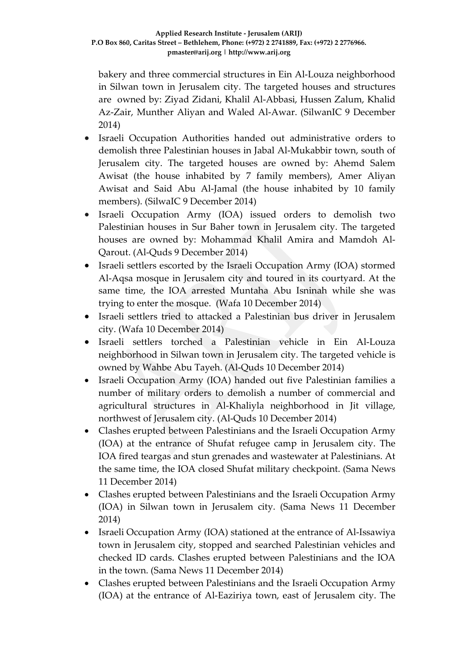bakery and three commercial structures in Ein Al-Louza neighborhood in Silwan town in Jerusalem city. The targeted houses and structures are owned by: Ziyad Zidani, Khalil Al-Abbasi, Hussen Zalum, Khalid Az-Zair, Munther Aliyan and Waled Al-Awar. (SilwanIC 9 December 2014)

- Israeli Occupation Authorities handed out administrative orders to demolish three Palestinian houses in Jabal Al-Mukabbir town, south of Jerusalem city. The targeted houses are owned by: Ahemd Salem Awisat (the house inhabited by 7 family members), Amer Aliyan Awisat and Said Abu Al-Jamal (the house inhabited by 10 family members). (SilwaIC 9 December 2014)
- Israeli Occupation Army (IOA) issued orders to demolish two Palestinian houses in Sur Baher town in Jerusalem city. The targeted houses are owned by: Mohammad Khalil Amira and Mamdoh Al-Qarout. (Al-Quds 9 December 2014)
- Israeli settlers escorted by the Israeli Occupation Army (IOA) stormed Al-Aqsa mosque in Jerusalem city and toured in its courtyard. At the same time, the IOA arrested Muntaha Abu Isninah while she was trying to enter the mosque. (Wafa 10 December 2014)
- Israeli settlers tried to attacked a Palestinian bus driver in Jerusalem city. (Wafa 10 December 2014)
- Israeli settlers torched a Palestinian vehicle in Ein Al-Louza neighborhood in Silwan town in Jerusalem city. The targeted vehicle is owned by Wahbe Abu Tayeh. (Al-Quds 10 December 2014)
- Israeli Occupation Army (IOA) handed out five Palestinian families a number of military orders to demolish a number of commercial and agricultural structures in Al-Khaliyla neighborhood in Jit village, northwest of Jerusalem city. (Al-Quds 10 December 2014)
- Clashes erupted between Palestinians and the Israeli Occupation Army (IOA) at the entrance of Shufat refugee camp in Jerusalem city. The IOA fired teargas and stun grenades and wastewater at Palestinians. At the same time, the IOA closed Shufat military checkpoint. (Sama News 11 December 2014)
- Clashes erupted between Palestinians and the Israeli Occupation Army (IOA) in Silwan town in Jerusalem city. (Sama News 11 December 2014)
- Israeli Occupation Army (IOA) stationed at the entrance of Al-Issawiya town in Jerusalem city, stopped and searched Palestinian vehicles and checked ID cards. Clashes erupted between Palestinians and the IOA in the town. (Sama News 11 December 2014)
- Clashes erupted between Palestinians and the Israeli Occupation Army (IOA) at the entrance of Al-Eaziriya town, east of Jerusalem city. The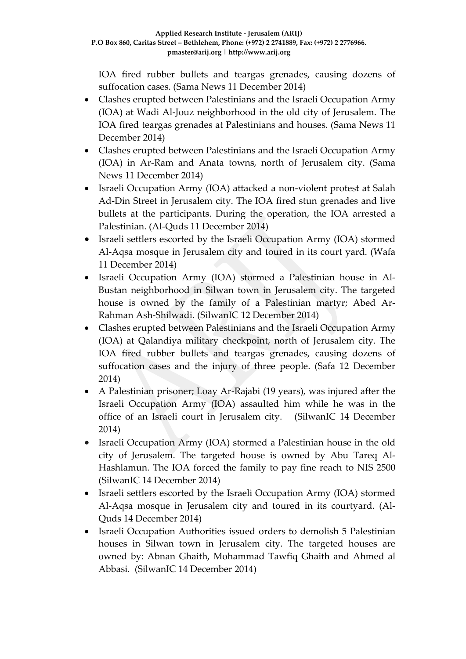IOA fired rubber bullets and teargas grenades, causing dozens of suffocation cases. (Sama News 11 December 2014)

- Clashes erupted between Palestinians and the Israeli Occupation Army (IOA) at Wadi Al-Jouz neighborhood in the old city of Jerusalem. The IOA fired teargas grenades at Palestinians and houses. (Sama News 11 December 2014)
- Clashes erupted between Palestinians and the Israeli Occupation Army (IOA) in Ar-Ram and Anata towns, north of Jerusalem city. (Sama News 11 December 2014)
- Israeli Occupation Army (IOA) attacked a non-violent protest at Salah Ad-Din Street in Jerusalem city. The IOA fired stun grenades and live bullets at the participants. During the operation, the IOA arrested a Palestinian. (Al-Quds 11 December 2014)
- Israeli settlers escorted by the Israeli Occupation Army (IOA) stormed Al-Aqsa mosque in Jerusalem city and toured in its court yard. (Wafa 11 December 2014)
- Israeli Occupation Army (IOA) stormed a Palestinian house in Al-Bustan neighborhood in Silwan town in Jerusalem city. The targeted house is owned by the family of a Palestinian martyr; Abed Ar-Rahman Ash-Shilwadi. (SilwanIC 12 December 2014)
- Clashes erupted between Palestinians and the Israeli Occupation Army (IOA) at Qalandiya military checkpoint, north of Jerusalem city. The IOA fired rubber bullets and teargas grenades, causing dozens of suffocation cases and the injury of three people. (Safa 12 December 2014)
- A Palestinian prisoner; Loay Ar-Rajabi (19 years), was injured after the Israeli Occupation Army (IOA) assaulted him while he was in the office of an Israeli court in Jerusalem city. (SilwanIC 14 December 2014)
- Israeli Occupation Army (IOA) stormed a Palestinian house in the old city of Jerusalem. The targeted house is owned by Abu Tareq Al-Hashlamun. The IOA forced the family to pay fine reach to NIS 2500 (SilwanIC 14 December 2014)
- Israeli settlers escorted by the Israeli Occupation Army (IOA) stormed Al-Aqsa mosque in Jerusalem city and toured in its courtyard. (Al-Quds 14 December 2014)
- Israeli Occupation Authorities issued orders to demolish 5 Palestinian houses in Silwan town in Jerusalem city. The targeted houses are owned by: Abnan Ghaith, Mohammad Tawfiq Ghaith and Ahmed al Abbasi. (SilwanIC 14 December 2014)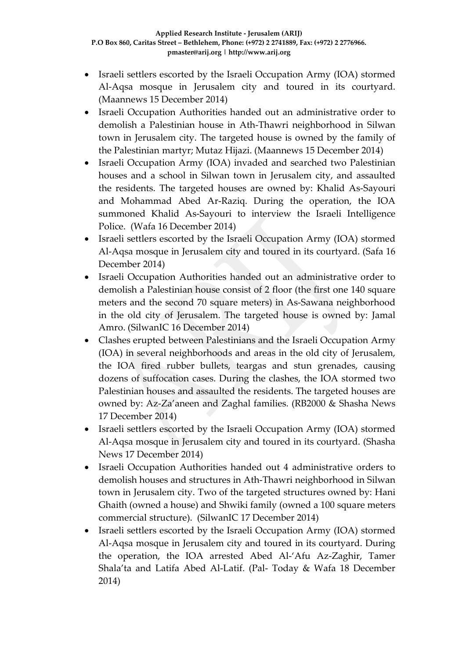- Israeli settlers escorted by the Israeli Occupation Army (IOA) stormed Al-Aqsa mosque in Jerusalem city and toured in its courtyard. (Maannews 15 December 2014)
- Israeli Occupation Authorities handed out an administrative order to demolish a Palestinian house in Ath-Thawri neighborhood in Silwan town in Jerusalem city. The targeted house is owned by the family of the Palestinian martyr; Mutaz Hijazi. (Maannews 15 December 2014)
- Israeli Occupation Army (IOA) invaded and searched two Palestinian houses and a school in Silwan town in Jerusalem city, and assaulted the residents. The targeted houses are owned by: Khalid As-Sayouri and Mohammad Abed Ar-Raziq. During the operation, the IOA summoned Khalid As-Sayouri to interview the Israeli Intelligence Police. (Wafa 16 December 2014)
- Israeli settlers escorted by the Israeli Occupation Army (IOA) stormed Al-Aqsa mosque in Jerusalem city and toured in its courtyard. (Safa 16 December 2014)
- Israeli Occupation Authorities handed out an administrative order to demolish a Palestinian house consist of 2 floor (the first one 140 square meters and the second 70 square meters) in As-Sawana neighborhood in the old city of Jerusalem. The targeted house is owned by: Jamal Amro. (SilwanIC 16 December 2014)
- Clashes erupted between Palestinians and the Israeli Occupation Army (IOA) in several neighborhoods and areas in the old city of Jerusalem, the IOA fired rubber bullets, teargas and stun grenades, causing dozens of suffocation cases. During the clashes, the IOA stormed two Palestinian houses and assaulted the residents. The targeted houses are owned by: Az-Za'aneen and Zaghal families. (RB2000 & Shasha News 17 December 2014)
- Israeli settlers escorted by the Israeli Occupation Army (IOA) stormed Al-Aqsa mosque in Jerusalem city and toured in its courtyard. (Shasha News 17 December 2014)
- Israeli Occupation Authorities handed out 4 administrative orders to demolish houses and structures in Ath-Thawri neighborhood in Silwan town in Jerusalem city. Two of the targeted structures owned by: Hani Ghaith (owned a house) and Shwiki family (owned a 100 square meters commercial structure). (SilwanIC 17 December 2014)
- Israeli settlers escorted by the Israeli Occupation Army (IOA) stormed Al-Aqsa mosque in Jerusalem city and toured in its courtyard. During the operation, the IOA arrested Abed Al-'Afu Az-Zaghir, Tamer Shala'ta and Latifa Abed Al-Latif. (Pal- Today & Wafa 18 December 2014)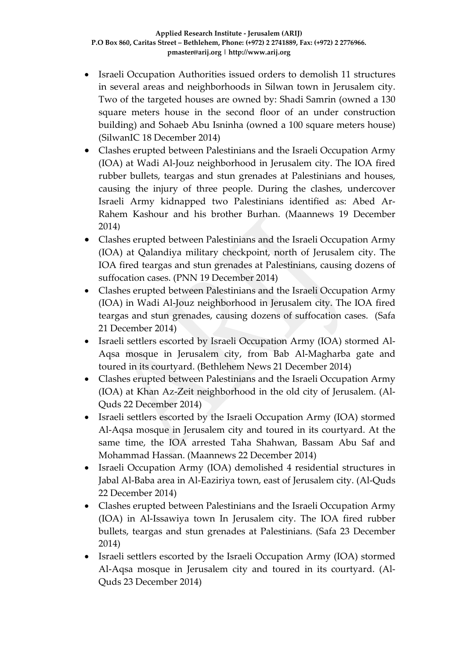- Israeli Occupation Authorities issued orders to demolish 11 structures in several areas and neighborhoods in Silwan town in Jerusalem city. Two of the targeted houses are owned by: Shadi Samrin (owned a 130 square meters house in the second floor of an under construction building) and Sohaeb Abu Isninha (owned a 100 square meters house) (SilwanIC 18 December 2014)
- Clashes erupted between Palestinians and the Israeli Occupation Army (IOA) at Wadi Al-Jouz neighborhood in Jerusalem city. The IOA fired rubber bullets, teargas and stun grenades at Palestinians and houses, causing the injury of three people. During the clashes, undercover Israeli Army kidnapped two Palestinians identified as: Abed Ar-Rahem Kashour and his brother Burhan. (Maannews 19 December 2014)
- Clashes erupted between Palestinians and the Israeli Occupation Army (IOA) at Qalandiya military checkpoint, north of Jerusalem city. The IOA fired teargas and stun grenades at Palestinians, causing dozens of suffocation cases. (PNN 19 December 2014)
- Clashes erupted between Palestinians and the Israeli Occupation Army (IOA) in Wadi Al-Jouz neighborhood in Jerusalem city. The IOA fired teargas and stun grenades, causing dozens of suffocation cases. (Safa 21 December 2014)
- Israeli settlers escorted by Israeli Occupation Army (IOA) stormed Al-Aqsa mosque in Jerusalem city, from Bab Al-Magharba gate and toured in its courtyard. (Bethlehem News 21 December 2014)
- Clashes erupted between Palestinians and the Israeli Occupation Army (IOA) at Khan Az-Zeit neighborhood in the old city of Jerusalem. (Al-Quds 22 December 2014)
- Israeli settlers escorted by the Israeli Occupation Army (IOA) stormed Al-Aqsa mosque in Jerusalem city and toured in its courtyard. At the same time, the IOA arrested Taha Shahwan, Bassam Abu Saf and Mohammad Hassan. (Maannews 22 December 2014)
- Israeli Occupation Army (IOA) demolished 4 residential structures in Jabal Al-Baba area in Al-Eaziriya town, east of Jerusalem city. (Al-Quds 22 December 2014)
- Clashes erupted between Palestinians and the Israeli Occupation Army (IOA) in Al-Issawiya town In Jerusalem city. The IOA fired rubber bullets, teargas and stun grenades at Palestinians. (Safa 23 December 2014)
- Israeli settlers escorted by the Israeli Occupation Army (IOA) stormed Al-Aqsa mosque in Jerusalem city and toured in its courtyard. (Al-Quds 23 December 2014)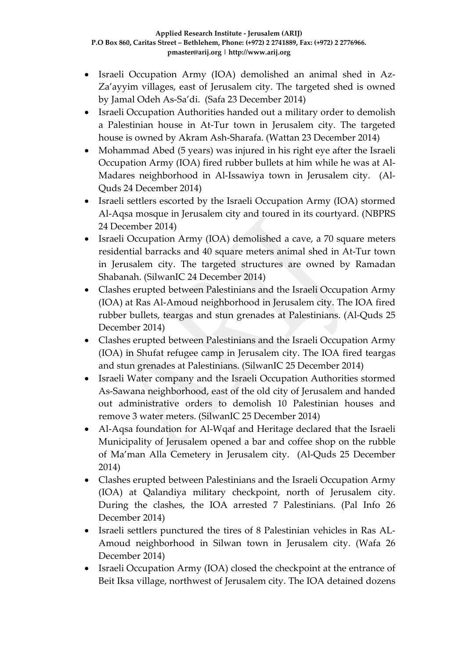- Israeli Occupation Army (IOA) demolished an animal shed in Az-Za'ayyim villages, east of Jerusalem city. The targeted shed is owned by Jamal Odeh As-Sa'di. (Safa 23 December 2014)
- Israeli Occupation Authorities handed out a military order to demolish a Palestinian house in At-Tur town in Jerusalem city. The targeted house is owned by Akram Ash-Sharafa. (Wattan 23 December 2014)
- Mohammad Abed (5 years) was injured in his right eye after the Israeli Occupation Army (IOA) fired rubber bullets at him while he was at Al-Madares neighborhood in Al-Issawiya town in Jerusalem city. (Al-Quds 24 December 2014)
- Israeli settlers escorted by the Israeli Occupation Army (IOA) stormed Al-Aqsa mosque in Jerusalem city and toured in its courtyard. (NBPRS 24 December 2014)
- Israeli Occupation Army (IOA) demolished a cave, a 70 square meters residential barracks and 40 square meters animal shed in At-Tur town in Jerusalem city. The targeted structures are owned by Ramadan Shabanah. (SilwanIC 24 December 2014)
- Clashes erupted between Palestinians and the Israeli Occupation Army (IOA) at Ras Al-Amoud neighborhood in Jerusalem city. The IOA fired rubber bullets, teargas and stun grenades at Palestinians. (Al-Quds 25 December 2014)
- Clashes erupted between Palestinians and the Israeli Occupation Army (IOA) in Shufat refugee camp in Jerusalem city. The IOA fired teargas and stun grenades at Palestinians. (SilwanIC 25 December 2014)
- Israeli Water company and the Israeli Occupation Authorities stormed As-Sawana neighborhood, east of the old city of Jerusalem and handed out administrative orders to demolish 10 Palestinian houses and remove 3 water meters. (SilwanIC 25 December 2014)
- Al-Aqsa foundation for Al-Wqaf and Heritage declared that the Israeli Municipality of Jerusalem opened a bar and coffee shop on the rubble of Ma'man Alla Cemetery in Jerusalem city. (Al-Quds 25 December 2014)
- Clashes erupted between Palestinians and the Israeli Occupation Army (IOA) at Qalandiya military checkpoint, north of Jerusalem city. During the clashes, the IOA arrested 7 Palestinians. (Pal Info 26 December 2014)
- Israeli settlers punctured the tires of 8 Palestinian vehicles in Ras AL-Amoud neighborhood in Silwan town in Jerusalem city. (Wafa 26 December 2014)
- Israeli Occupation Army (IOA) closed the checkpoint at the entrance of Beit Iksa village, northwest of Jerusalem city. The IOA detained dozens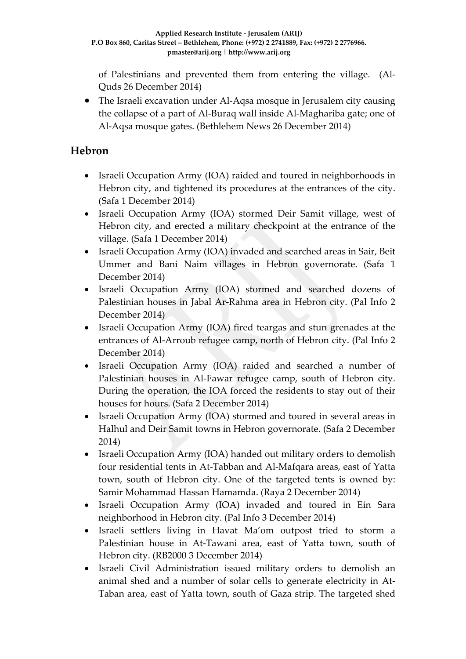of Palestinians and prevented them from entering the village. (Al-Quds 26 December 2014)

• The Israeli excavation under Al-Aqsa mosque in Jerusalem city causing the collapse of a part of Al-Buraq wall inside Al-Maghariba gate; one of Al-Aqsa mosque gates. (Bethlehem News 26 December 2014)

### **Hebron**

- Israeli Occupation Army (IOA) raided and toured in neighborhoods in Hebron city, and tightened its procedures at the entrances of the city. (Safa 1 December 2014)
- Israeli Occupation Army (IOA) stormed Deir Samit village, west of Hebron city, and erected a military checkpoint at the entrance of the village. (Safa 1 December 2014)
- Israeli Occupation Army (IOA) invaded and searched areas in Sair, Beit Ummer and Bani Naim villages in Hebron governorate. (Safa 1 December 2014)
- Israeli Occupation Army (IOA) stormed and searched dozens of Palestinian houses in Jabal Ar-Rahma area in Hebron city. (Pal Info 2 December 2014)
- Israeli Occupation Army (IOA) fired teargas and stun grenades at the entrances of Al-Arroub refugee camp, north of Hebron city. (Pal Info 2 December 2014)
- Israeli Occupation Army (IOA) raided and searched a number of Palestinian houses in Al-Fawar refugee camp, south of Hebron city. During the operation, the IOA forced the residents to stay out of their houses for hours. (Safa 2 December 2014)
- Israeli Occupation Army (IOA) stormed and toured in several areas in Halhul and Deir Samit towns in Hebron governorate. (Safa 2 December 2014)
- Israeli Occupation Army (IOA) handed out military orders to demolish four residential tents in At-Tabban and Al-Mafqara areas, east of Yatta town, south of Hebron city. One of the targeted tents is owned by: Samir Mohammad Hassan Hamamda. (Raya 2 December 2014)
- Israeli Occupation Army (IOA) invaded and toured in Ein Sara neighborhood in Hebron city. (Pal Info 3 December 2014)
- Israeli settlers living in Havat Ma'om outpost tried to storm a Palestinian house in At-Tawani area, east of Yatta town, south of Hebron city. (RB2000 3 December 2014)
- Israeli Civil Administration issued military orders to demolish an animal shed and a number of solar cells to generate electricity in At-Taban area, east of Yatta town, south of Gaza strip. The targeted shed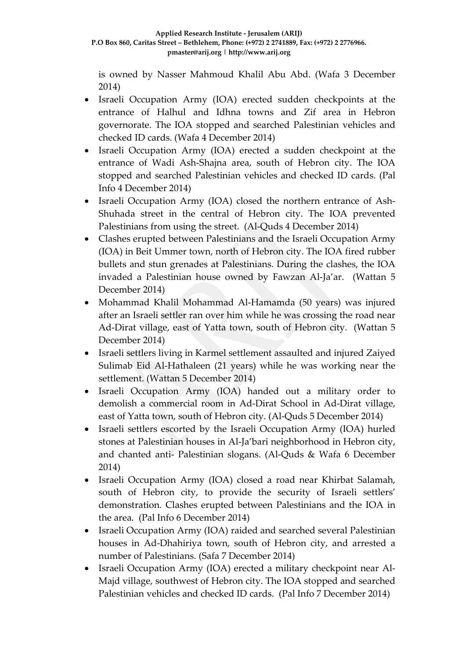is owned by Nasser Mahmoud Khalil Abu Abd. (Wafa 3 December 2014)

- Israeli Occupation Army (IOA) erected sudden checkpoints at the entrance of Halhul and Idhna towns and Zif area in Hebron governorate. The IOA stopped and searched Palestinian vehicles and checked ID cards. (Wafa 4 December 2014)
- Israeli Occupation Army (IOA) erected a sudden checkpoint at the entrance of Wadi Ash-Shajna area, south of Hebron city. The IOA stopped and searched Palestinian vehicles and checked ID cards. (Pal Info 4 December 2014)
- Israeli Occupation Army (IOA) closed the northern entrance of Ash-Shuhada street in the central of Hebron city. The IOA prevented Palestinians from using the street. (Al-Quds 4 December 2014)
- Clashes erupted between Palestinians and the Israeli Occupation Army (IOA) in Beit Ummer town, north of Hebron city. The IOA fired rubber bullets and stun grenades at Palestinians. During the clashes, the IOA invaded a Palestinian house owned by Fawzan Al-Ja'ar. (Wattan 5 December 2014)
- Mohammad Khalil Mohammad Al-Hamamda (50 years) was injured after an Israeli settler ran over him while he was crossing the road near Ad-Dirat village, east of Yatta town, south of Hebron city. (Wattan 5 December 2014)
- Israeli settlers living in Karmel settlement assaulted and injured Zaiyed Sulimab Eid Al-Hathaleen (21 years) while he was working near the settlement. (Wattan 5 December 2014)
- Israeli Occupation Army (IOA) handed out a military order to demolish a commercial room in Ad-Dirat School in Ad-Dirat village, east of Yatta town, south of Hebron city. (Al-Quds 5 December 2014)
- Israeli settlers escorted by the Israeli Occupation Army (IOA) hurled stones at Palestinian houses in Al-Ja'bari neighborhood in Hebron city, and chanted anti- Palestinian slogans. (Al-Quds & Wafa 6 December 2014)
- Israeli Occupation Army (IOA) closed a road near Khirbat Salamah, south of Hebron city, to provide the security of Israeli settlers' demonstration. Clashes erupted between Palestinians and the IOA in the area. (Pal Info 6 December 2014)
- Israeli Occupation Army (IOA) raided and searched several Palestinian houses in Ad-Dhahiriya town, south of Hebron city, and arrested a number of Palestinians. (Safa 7 December 2014)
- Israeli Occupation Army (IOA) erected a military checkpoint near Al-Majd village, southwest of Hebron city. The IOA stopped and searched Palestinian vehicles and checked ID cards. (Pal Info 7 December 2014)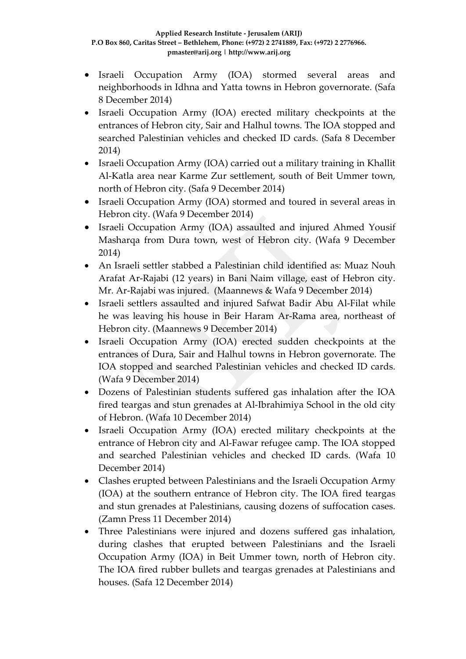- Israeli Occupation Army (IOA) stormed several areas and neighborhoods in Idhna and Yatta towns in Hebron governorate. (Safa 8 December 2014)
- Israeli Occupation Army (IOA) erected military checkpoints at the entrances of Hebron city, Sair and Halhul towns. The IOA stopped and searched Palestinian vehicles and checked ID cards. (Safa 8 December 2014)
- Israeli Occupation Army (IOA) carried out a military training in Khallit Al-Katla area near Karme Zur settlement, south of Beit Ummer town, north of Hebron city. (Safa 9 December 2014)
- Israeli Occupation Army (IOA) stormed and toured in several areas in Hebron city. (Wafa 9 December 2014)
- Israeli Occupation Army (IOA) assaulted and injured Ahmed Yousif Masharqa from Dura town, west of Hebron city. (Wafa 9 December 2014)
- An Israeli settler stabbed a Palestinian child identified as: Muaz Nouh Arafat Ar-Rajabi (12 years) in Bani Naim village, east of Hebron city. Mr. Ar-Rajabi was injured. (Maannews & Wafa 9 December 2014)
- Israeli settlers assaulted and injured Safwat Badir Abu Al-Filat while he was leaving his house in Beir Haram Ar-Rama area, northeast of Hebron city. (Maannews 9 December 2014)
- Israeli Occupation Army (IOA) erected sudden checkpoints at the entrances of Dura, Sair and Halhul towns in Hebron governorate. The IOA stopped and searched Palestinian vehicles and checked ID cards. (Wafa 9 December 2014)
- Dozens of Palestinian students suffered gas inhalation after the IOA fired teargas and stun grenades at Al-Ibrahimiya School in the old city of Hebron. (Wafa 10 December 2014)
- Israeli Occupation Army (IOA) erected military checkpoints at the entrance of Hebron city and Al-Fawar refugee camp. The IOA stopped and searched Palestinian vehicles and checked ID cards. (Wafa 10 December 2014)
- Clashes erupted between Palestinians and the Israeli Occupation Army (IOA) at the southern entrance of Hebron city. The IOA fired teargas and stun grenades at Palestinians, causing dozens of suffocation cases. (Zamn Press 11 December 2014)
- Three Palestinians were injured and dozens suffered gas inhalation, during clashes that erupted between Palestinians and the Israeli Occupation Army (IOA) in Beit Ummer town, north of Hebron city. The IOA fired rubber bullets and teargas grenades at Palestinians and houses. (Safa 12 December 2014)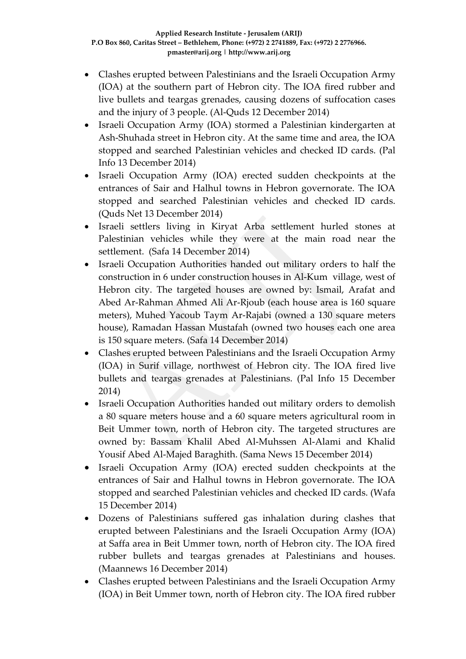- Clashes erupted between Palestinians and the Israeli Occupation Army (IOA) at the southern part of Hebron city. The IOA fired rubber and live bullets and teargas grenades, causing dozens of suffocation cases and the injury of 3 people. (Al-Quds 12 December 2014)
- Israeli Occupation Army (IOA) stormed a Palestinian kindergarten at Ash-Shuhada street in Hebron city. At the same time and area, the IOA stopped and searched Palestinian vehicles and checked ID cards. (Pal Info 13 December 2014)
- Israeli Occupation Army (IOA) erected sudden checkpoints at the entrances of Sair and Halhul towns in Hebron governorate. The IOA stopped and searched Palestinian vehicles and checked ID cards. (Quds Net 13 December 2014)
- Israeli settlers living in Kiryat Arba settlement hurled stones at Palestinian vehicles while they were at the main road near the settlement. (Safa 14 December 2014)
- Israeli Occupation Authorities handed out military orders to half the construction in 6 under construction houses in Al-Kum village, west of Hebron city. The targeted houses are owned by: Ismail, Arafat and Abed Ar-Rahman Ahmed Ali Ar-Rjoub (each house area is 160 square meters), Muhed Yacoub Taym Ar-Rajabi (owned a 130 square meters house), Ramadan Hassan Mustafah (owned two houses each one area is 150 square meters. (Safa 14 December 2014)
- Clashes erupted between Palestinians and the Israeli Occupation Army (IOA) in Surif village, northwest of Hebron city. The IOA fired live bullets and teargas grenades at Palestinians. (Pal Info 15 December 2014)
- Israeli Occupation Authorities handed out military orders to demolish a 80 square meters house and a 60 square meters agricultural room in Beit Ummer town, north of Hebron city. The targeted structures are owned by: Bassam Khalil Abed Al-Muhssen Al-Alami and Khalid Yousif Abed Al-Majed Baraghith. (Sama News 15 December 2014)
- Israeli Occupation Army (IOA) erected sudden checkpoints at the entrances of Sair and Halhul towns in Hebron governorate. The IOA stopped and searched Palestinian vehicles and checked ID cards. (Wafa 15 December 2014)
- Dozens of Palestinians suffered gas inhalation during clashes that erupted between Palestinians and the Israeli Occupation Army (IOA) at Saffa area in Beit Ummer town, north of Hebron city. The IOA fired rubber bullets and teargas grenades at Palestinians and houses. (Maannews 16 December 2014)
- Clashes erupted between Palestinians and the Israeli Occupation Army (IOA) in Beit Ummer town, north of Hebron city. The IOA fired rubber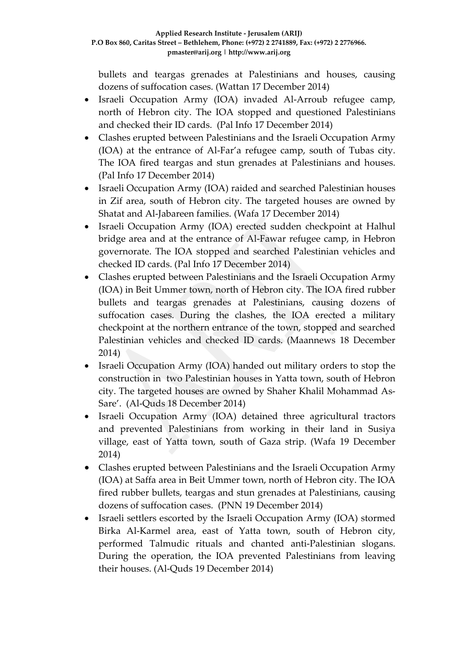bullets and teargas grenades at Palestinians and houses, causing dozens of suffocation cases. (Wattan 17 December 2014)

- Israeli Occupation Army (IOA) invaded Al-Arroub refugee camp, north of Hebron city. The IOA stopped and questioned Palestinians and checked their ID cards. (Pal Info 17 December 2014)
- Clashes erupted between Palestinians and the Israeli Occupation Army (IOA) at the entrance of Al-Far'a refugee camp, south of Tubas city. The IOA fired teargas and stun grenades at Palestinians and houses. (Pal Info 17 December 2014)
- Israeli Occupation Army (IOA) raided and searched Palestinian houses in Zif area, south of Hebron city. The targeted houses are owned by Shatat and Al-Jabareen families. (Wafa 17 December 2014)
- Israeli Occupation Army (IOA) erected sudden checkpoint at Halhul bridge area and at the entrance of Al-Fawar refugee camp, in Hebron governorate. The IOA stopped and searched Palestinian vehicles and checked ID cards. (Pal Info 17 December 2014)
- Clashes erupted between Palestinians and the Israeli Occupation Army (IOA) in Beit Ummer town, north of Hebron city. The IOA fired rubber bullets and teargas grenades at Palestinians, causing dozens of suffocation cases. During the clashes, the IOA erected a military checkpoint at the northern entrance of the town, stopped and searched Palestinian vehicles and checked ID cards. (Maannews 18 December 2014)
- Israeli Occupation Army (IOA) handed out military orders to stop the construction in two Palestinian houses in Yatta town, south of Hebron city. The targeted houses are owned by Shaher Khalil Mohammad As-Sare'. (Al-Quds 18 December 2014)
- Israeli Occupation Army (IOA) detained three agricultural tractors and prevented Palestinians from working in their land in Susiya village, east of Yatta town, south of Gaza strip. (Wafa 19 December 2014)
- Clashes erupted between Palestinians and the Israeli Occupation Army (IOA) at Saffa area in Beit Ummer town, north of Hebron city. The IOA fired rubber bullets, teargas and stun grenades at Palestinians, causing dozens of suffocation cases. (PNN 19 December 2014)
- Israeli settlers escorted by the Israeli Occupation Army (IOA) stormed Birka Al-Karmel area, east of Yatta town, south of Hebron city, performed Talmudic rituals and chanted anti-Palestinian slogans. During the operation, the IOA prevented Palestinians from leaving their houses. (Al-Quds 19 December 2014)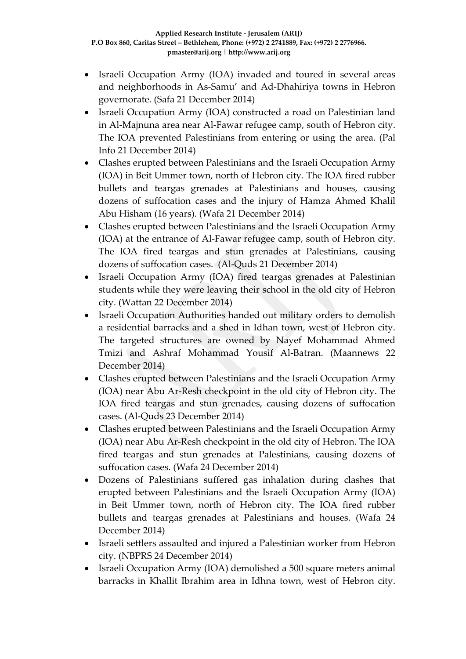- Israeli Occupation Army (IOA) invaded and toured in several areas and neighborhoods in As-Samu' and Ad-Dhahiriya towns in Hebron governorate. (Safa 21 December 2014)
- Israeli Occupation Army (IOA) constructed a road on Palestinian land in Al-Majnuna area near Al-Fawar refugee camp, south of Hebron city. The IOA prevented Palestinians from entering or using the area. (Pal Info 21 December 2014)
- Clashes erupted between Palestinians and the Israeli Occupation Army (IOA) in Beit Ummer town, north of Hebron city. The IOA fired rubber bullets and teargas grenades at Palestinians and houses, causing dozens of suffocation cases and the injury of Hamza Ahmed Khalil Abu Hisham (16 years). (Wafa 21 December 2014)
- Clashes erupted between Palestinians and the Israeli Occupation Army (IOA) at the entrance of Al-Fawar refugee camp, south of Hebron city. The IOA fired teargas and stun grenades at Palestinians, causing dozens of suffocation cases. (Al-Quds 21 December 2014)
- Israeli Occupation Army (IOA) fired teargas grenades at Palestinian students while they were leaving their school in the old city of Hebron city. (Wattan 22 December 2014)
- Israeli Occupation Authorities handed out military orders to demolish a residential barracks and a shed in Idhan town, west of Hebron city. The targeted structures are owned by Nayef Mohammad Ahmed Tmizi and Ashraf Mohammad Yousif Al-Batran. (Maannews 22 December 2014)
- Clashes erupted between Palestinians and the Israeli Occupation Army (IOA) near Abu Ar-Resh checkpoint in the old city of Hebron city. The IOA fired teargas and stun grenades, causing dozens of suffocation cases. (Al-Quds 23 December 2014)
- Clashes erupted between Palestinians and the Israeli Occupation Army (IOA) near Abu Ar-Resh checkpoint in the old city of Hebron. The IOA fired teargas and stun grenades at Palestinians, causing dozens of suffocation cases. (Wafa 24 December 2014)
- Dozens of Palestinians suffered gas inhalation during clashes that erupted between Palestinians and the Israeli Occupation Army (IOA) in Beit Ummer town, north of Hebron city. The IOA fired rubber bullets and teargas grenades at Palestinians and houses. (Wafa 24 December 2014)
- Israeli settlers assaulted and injured a Palestinian worker from Hebron city. (NBPRS 24 December 2014)
- Israeli Occupation Army (IOA) demolished a 500 square meters animal barracks in Khallit Ibrahim area in Idhna town, west of Hebron city.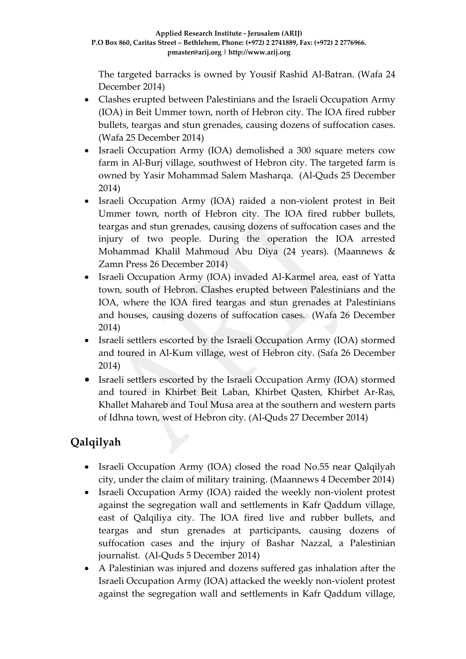The targeted barracks is owned by Yousif Rashid Al-Batran. (Wafa 24 December 2014)

- Clashes erupted between Palestinians and the Israeli Occupation Army (IOA) in Beit Ummer town, north of Hebron city. The IOA fired rubber bullets, teargas and stun grenades, causing dozens of suffocation cases. (Wafa 25 December 2014)
- Israeli Occupation Army (IOA) demolished a 300 square meters cow farm in Al-Burj village, southwest of Hebron city. The targeted farm is owned by Yasir Mohammad Salem Masharqa. (Al-Quds 25 December 2014)
- Israeli Occupation Army (IOA) raided a non-violent protest in Beit Ummer town, north of Hebron city. The IOA fired rubber bullets, teargas and stun grenades, causing dozens of suffocation cases and the injury of two people. During the operation the IOA arrested Mohammad Khalil Mahmoud Abu Diya (24 years). (Maannews & Zamn Press 26 December 2014)
- Israeli Occupation Army (IOA) invaded Al-Karmel area, east of Yatta town, south of Hebron. Clashes erupted between Palestinians and the IOA, where the IOA fired teargas and stun grenades at Palestinians and houses, causing dozens of suffocation cases. (Wafa 26 December 2014)
- Israeli settlers escorted by the Israeli Occupation Army (IOA) stormed and toured in Al-Kum village, west of Hebron city. (Safa 26 December 2014)
- Israeli settlers escorted by the Israeli Occupation Army (IOA) stormed and toured in Khirbet Beit Laban, Khirbet Qasten, Khirbet Ar-Ras, Khallet Mahareb and Toul Musa area at the southern and western parts of Idhna town, west of Hebron city. (Al-Quds 27 December 2014)

# **Qalqilyah**

- Israeli Occupation Army (IOA) closed the road No.55 near Qalqilyah city, under the claim of military training. (Maannews 4 December 2014)
- Israeli Occupation Army (IOA) raided the weekly non-violent protest against the segregation wall and settlements in Kafr Qaddum village, east of Qalqiliya city. The IOA fired live and rubber bullets, and teargas and stun grenades at participants, causing dozens of suffocation cases and the injury of Bashar Nazzal, a Palestinian journalist. (Al-Quds 5 December 2014)
- A Palestinian was injured and dozens suffered gas inhalation after the Israeli Occupation Army (IOA) attacked the weekly non-violent protest against the segregation wall and settlements in Kafr Qaddum village,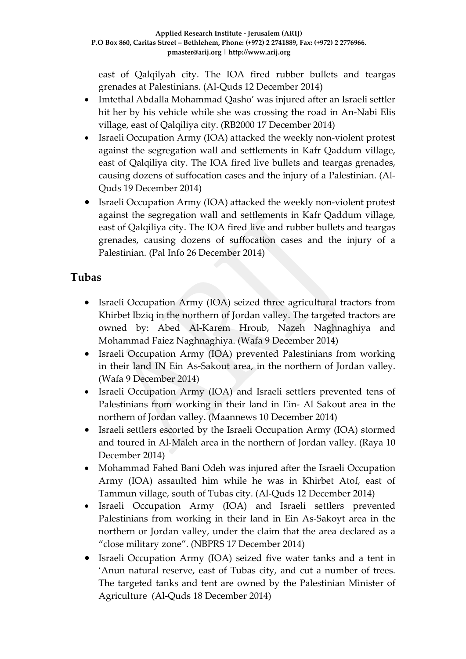east of Qalqilyah city. The IOA fired rubber bullets and teargas grenades at Palestinians. (Al-Quds 12 December 2014)

- Imtethal Abdalla Mohammad Qasho' was injured after an Israeli settler hit her by his vehicle while she was crossing the road in An-Nabi Elis village, east of Qalqiliya city. (RB2000 17 December 2014)
- Israeli Occupation Army (IOA) attacked the weekly non-violent protest against the segregation wall and settlements in Kafr Qaddum village, east of Qalqiliya city. The IOA fired live bullets and teargas grenades, causing dozens of suffocation cases and the injury of a Palestinian. (Al-Quds 19 December 2014)
- Israeli Occupation Army (IOA) attacked the weekly non-violent protest against the segregation wall and settlements in Kafr Qaddum village, east of Qalqiliya city. The IOA fired live and rubber bullets and teargas grenades, causing dozens of suffocation cases and the injury of a Palestinian. (Pal Info 26 December 2014)

### **Tubas**

- Israeli Occupation Army (IOA) seized three agricultural tractors from Khirbet Ibziq in the northern of Jordan valley. The targeted tractors are owned by: Abed Al-Karem Hroub, Nazeh Naghnaghiya and Mohammad Faiez Naghnaghiya. (Wafa 9 December 2014)
- Israeli Occupation Army (IOA) prevented Palestinians from working in their land IN Ein As-Sakout area, in the northern of Jordan valley. (Wafa 9 December 2014)
- Israeli Occupation Army (IOA) and Israeli settlers prevented tens of Palestinians from working in their land in Ein- Al Sakout area in the northern of Jordan valley. (Maannews 10 December 2014)
- Israeli settlers escorted by the Israeli Occupation Army (IOA) stormed and toured in Al-Maleh area in the northern of Jordan valley. (Raya 10 December 2014)
- Mohammad Fahed Bani Odeh was injured after the Israeli Occupation Army (IOA) assaulted him while he was in Khirbet Atof, east of Tammun village, south of Tubas city. (Al-Quds 12 December 2014)
- Israeli Occupation Army (IOA) and Israeli settlers prevented Palestinians from working in their land in Ein As-Sakoyt area in the northern or Jordan valley, under the claim that the area declared as a "close military zone". (NBPRS 17 December 2014)
- Israeli Occupation Army (IOA) seized five water tanks and a tent in 'Anun natural reserve, east of Tubas city, and cut a number of trees. The targeted tanks and tent are owned by the Palestinian Minister of Agriculture (Al-Quds 18 December 2014)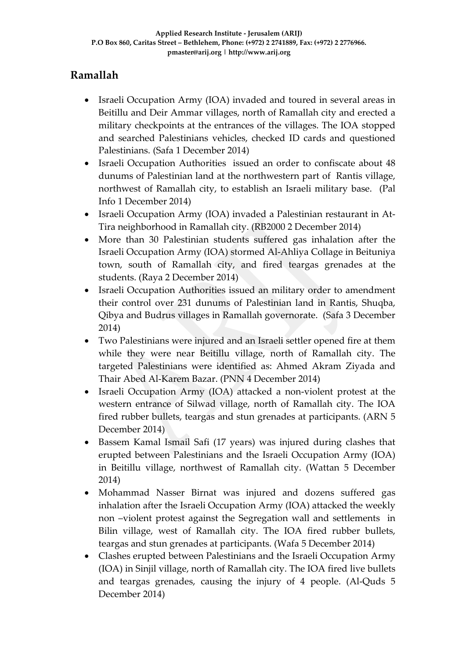### **Ramallah**

- Israeli Occupation Army (IOA) invaded and toured in several areas in Beitillu and Deir Ammar villages, north of Ramallah city and erected a military checkpoints at the entrances of the villages. The IOA stopped and searched Palestinians vehicles, checked ID cards and questioned Palestinians. (Safa 1 December 2014)
- Israeli Occupation Authorities issued an order to confiscate about 48 dunums of Palestinian land at the northwestern part of Rantis village, northwest of Ramallah city, to establish an Israeli military base. (Pal Info 1 December 2014)
- Israeli Occupation Army (IOA) invaded a Palestinian restaurant in At-Tira neighborhood in Ramallah city. (RB2000 2 December 2014)
- More than 30 Palestinian students suffered gas inhalation after the Israeli Occupation Army (IOA) stormed Al-Ahliya Collage in Beituniya town, south of Ramallah city, and fired teargas grenades at the students. (Raya 2 December 2014)
- Israeli Occupation Authorities issued an military order to amendment their control over 231 dunums of Palestinian land in Rantis, Shuqba, Qibya and Budrus villages in Ramallah governorate. (Safa 3 December 2014)
- Two Palestinians were injured and an Israeli settler opened fire at them while they were near Beitillu village, north of Ramallah city. The targeted Palestinians were identified as: Ahmed Akram Ziyada and Thair Abed Al-Karem Bazar. (PNN 4 December 2014)
- Israeli Occupation Army (IOA) attacked a non-violent protest at the western entrance of Silwad village, north of Ramallah city. The IOA fired rubber bullets, teargas and stun grenades at participants. (ARN 5 December 2014)
- Bassem Kamal Ismail Safi (17 years) was injured during clashes that erupted between Palestinians and the Israeli Occupation Army (IOA) in Beitillu village, northwest of Ramallah city. (Wattan 5 December 2014)
- Mohammad Nasser Birnat was injured and dozens suffered gas inhalation after the Israeli Occupation Army (IOA) attacked the weekly non –violent protest against the Segregation wall and settlements in Bilin village, west of Ramallah city. The IOA fired rubber bullets, teargas and stun grenades at participants. (Wafa 5 December 2014)
- Clashes erupted between Palestinians and the Israeli Occupation Army (IOA) in Sinjil village, north of Ramallah city. The IOA fired live bullets and teargas grenades, causing the injury of 4 people. (Al-Quds 5 December 2014)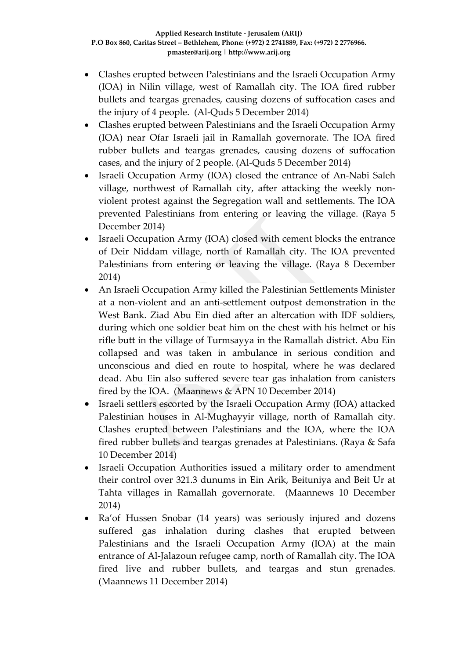- Clashes erupted between Palestinians and the Israeli Occupation Army (IOA) in Nilin village, west of Ramallah city. The IOA fired rubber bullets and teargas grenades, causing dozens of suffocation cases and the injury of 4 people. (Al-Quds 5 December 2014)
- Clashes erupted between Palestinians and the Israeli Occupation Army (IOA) near Ofar Israeli jail in Ramallah governorate. The IOA fired rubber bullets and teargas grenades, causing dozens of suffocation cases, and the injury of 2 people. (Al-Quds 5 December 2014)
- Israeli Occupation Army (IOA) closed the entrance of An-Nabi Saleh village, northwest of Ramallah city, after attacking the weekly nonviolent protest against the Segregation wall and settlements. The IOA prevented Palestinians from entering or leaving the village. (Raya 5 December 2014)
- Israeli Occupation Army (IOA) closed with cement blocks the entrance of Deir Niddam village, north of Ramallah city. The IOA prevented Palestinians from entering or leaving the village. (Raya 8 December 2014)
- An Israeli Occupation Army killed the Palestinian Settlements Minister at a non-violent and an anti-settlement outpost demonstration in the West Bank. Ziad Abu Ein died after an altercation with IDF soldiers, during which one soldier beat him on the chest with his helmet or his rifle butt in the village of Turmsayya in the Ramallah district. Abu Ein collapsed and was taken in ambulance in serious condition and unconscious and died en route to hospital, where he was declared dead. Abu Ein also suffered severe tear gas inhalation from canisters fired by the IOA. (Maannews & APN 10 December 2014)
- Israeli settlers escorted by the Israeli Occupation Army (IOA) attacked Palestinian houses in Al-Mughayyir village, north of Ramallah city. Clashes erupted between Palestinians and the IOA, where the IOA fired rubber bullets and teargas grenades at Palestinians. (Raya & Safa 10 December 2014)
- Israeli Occupation Authorities issued a military order to amendment their control over 321.3 dunums in Ein Arik, Beituniya and Beit Ur at Tahta villages in Ramallah governorate. (Maannews 10 December 2014)
- Ra'of Hussen Snobar (14 years) was seriously injured and dozens suffered gas inhalation during clashes that erupted between Palestinians and the Israeli Occupation Army (IOA) at the main entrance of Al-Jalazoun refugee camp, north of Ramallah city. The IOA fired live and rubber bullets, and teargas and stun grenades. (Maannews 11 December 2014)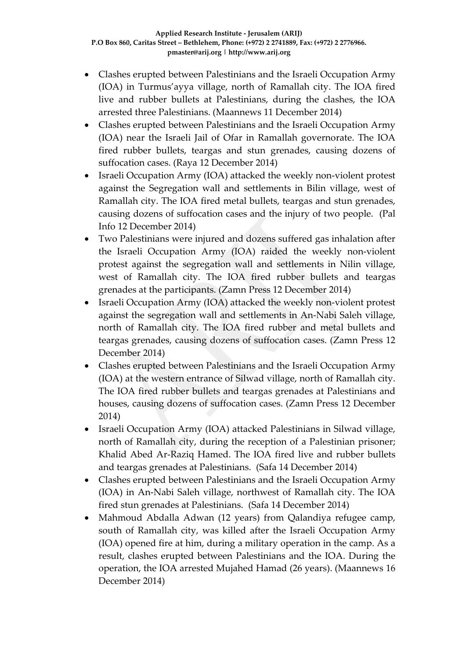- Clashes erupted between Palestinians and the Israeli Occupation Army (IOA) in Turmus'ayya village, north of Ramallah city. The IOA fired live and rubber bullets at Palestinians, during the clashes, the IOA arrested three Palestinians. (Maannews 11 December 2014)
- Clashes erupted between Palestinians and the Israeli Occupation Army (IOA) near the Israeli Jail of Ofar in Ramallah governorate. The IOA fired rubber bullets, teargas and stun grenades, causing dozens of suffocation cases. (Raya 12 December 2014)
- Israeli Occupation Army (IOA) attacked the weekly non-violent protest against the Segregation wall and settlements in Bilin village, west of Ramallah city. The IOA fired metal bullets, teargas and stun grenades, causing dozens of suffocation cases and the injury of two people. (Pal Info 12 December 2014)
- Two Palestinians were injured and dozens suffered gas inhalation after the Israeli Occupation Army (IOA) raided the weekly non-violent protest against the segregation wall and settlements in Nilin village, west of Ramallah city. The IOA fired rubber bullets and teargas grenades at the participants. (Zamn Press 12 December 2014)
- Israeli Occupation Army (IOA) attacked the weekly non-violent protest against the segregation wall and settlements in An-Nabi Saleh village, north of Ramallah city. The IOA fired rubber and metal bullets and teargas grenades, causing dozens of suffocation cases. (Zamn Press 12 December 2014)
- Clashes erupted between Palestinians and the Israeli Occupation Army (IOA) at the western entrance of Silwad village, north of Ramallah city. The IOA fired rubber bullets and teargas grenades at Palestinians and houses, causing dozens of suffocation cases. (Zamn Press 12 December 2014)
- Israeli Occupation Army (IOA) attacked Palestinians in Silwad village, north of Ramallah city, during the reception of a Palestinian prisoner; Khalid Abed Ar-Raziq Hamed. The IOA fired live and rubber bullets and teargas grenades at Palestinians. (Safa 14 December 2014)
- Clashes erupted between Palestinians and the Israeli Occupation Army (IOA) in An-Nabi Saleh village, northwest of Ramallah city. The IOA fired stun grenades at Palestinians. (Safa 14 December 2014)
- Mahmoud Abdalla Adwan (12 years) from Qalandiya refugee camp, south of Ramallah city, was killed after the Israeli Occupation Army (IOA) opened fire at him, during a military operation in the camp. As a result, clashes erupted between Palestinians and the IOA. During the operation, the IOA arrested Mujahed Hamad (26 years). (Maannews 16 December 2014)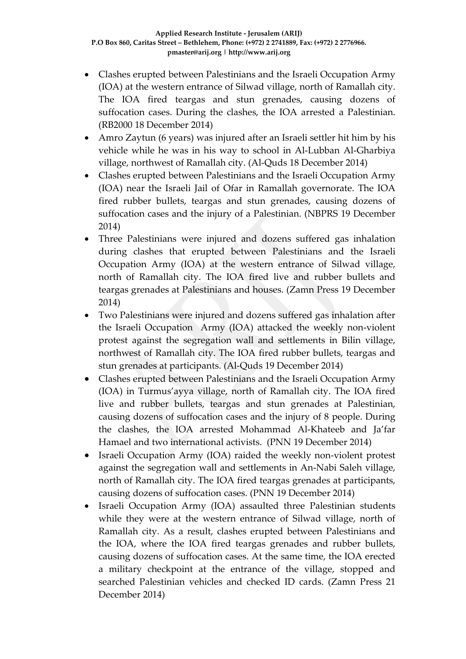- Clashes erupted between Palestinians and the Israeli Occupation Army (IOA) at the western entrance of Silwad village, north of Ramallah city. The IOA fired teargas and stun grenades, causing dozens of suffocation cases. During the clashes, the IOA arrested a Palestinian. (RB2000 18 December 2014)
- Amro Zaytun (6 years) was injured after an Israeli settler hit him by his vehicle while he was in his way to school in Al-Lubban Al-Gharbiya village, northwest of Ramallah city. (Al-Quds 18 December 2014)
- Clashes erupted between Palestinians and the Israeli Occupation Army (IOA) near the Israeli Jail of Ofar in Ramallah governorate. The IOA fired rubber bullets, teargas and stun grenades, causing dozens of suffocation cases and the injury of a Palestinian. (NBPRS 19 December 2014)
- Three Palestinians were injured and dozens suffered gas inhalation during clashes that erupted between Palestinians and the Israeli Occupation Army (IOA) at the western entrance of Silwad village, north of Ramallah city. The IOA fired live and rubber bullets and teargas grenades at Palestinians and houses. (Zamn Press 19 December 2014)
- Two Palestinians were injured and dozens suffered gas inhalation after the Israeli Occupation Army (IOA) attacked the weekly non-violent protest against the segregation wall and settlements in Bilin village, northwest of Ramallah city. The IOA fired rubber bullets, teargas and stun grenades at participants. (Al-Quds 19 December 2014)
- Clashes erupted between Palestinians and the Israeli Occupation Army (IOA) in Turmus'ayya village, north of Ramallah city. The IOA fired live and rubber bullets, teargas and stun grenades at Palestinian, causing dozens of suffocation cases and the injury of 8 people. During the clashes, the IOA arrested Mohammad Al-Khateeb and Ja'far Hamael and two international activists. (PNN 19 December 2014)
- Israeli Occupation Army (IOA) raided the weekly non-violent protest against the segregation wall and settlements in An-Nabi Saleh village, north of Ramallah city. The IOA fired teargas grenades at participants, causing dozens of suffocation cases. (PNN 19 December 2014)
- Israeli Occupation Army (IOA) assaulted three Palestinian students while they were at the western entrance of Silwad village, north of Ramallah city. As a result, clashes erupted between Palestinians and the IOA, where the IOA fired teargas grenades and rubber bullets, causing dozens of suffocation cases. At the same time, the IOA erected a military checkpoint at the entrance of the village, stopped and searched Palestinian vehicles and checked ID cards. (Zamn Press 21 December 2014)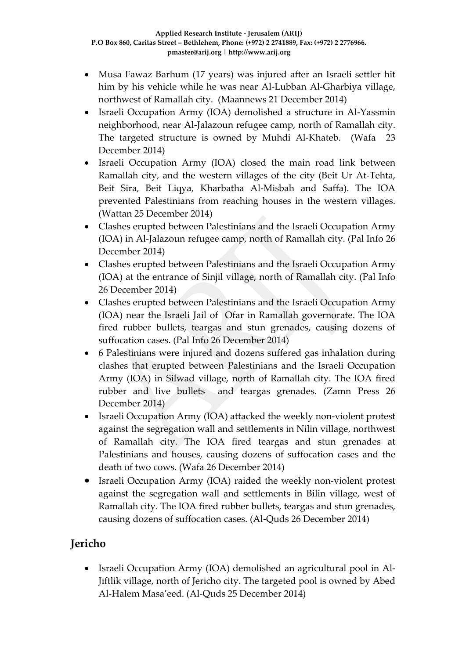- Musa Fawaz Barhum (17 years) was injured after an Israeli settler hit him by his vehicle while he was near Al-Lubban Al-Gharbiya village, northwest of Ramallah city. (Maannews 21 December 2014)
- Israeli Occupation Army (IOA) demolished a structure in Al-Yassmin neighborhood, near Al-Jalazoun refugee camp, north of Ramallah city. The targeted structure is owned by Muhdi Al-Khateb. (Wafa 23 December 2014)
- Israeli Occupation Army (IOA) closed the main road link between Ramallah city, and the western villages of the city (Beit Ur At-Tehta, Beit Sira, Beit Liqya, Kharbatha Al-Misbah and Saffa). The IOA prevented Palestinians from reaching houses in the western villages. (Wattan 25 December 2014)
- Clashes erupted between Palestinians and the Israeli Occupation Army (IOA) in Al-Jalazoun refugee camp, north of Ramallah city. (Pal Info 26 December 2014)
- Clashes erupted between Palestinians and the Israeli Occupation Army (IOA) at the entrance of Sinjil village, north of Ramallah city. (Pal Info 26 December 2014)
- Clashes erupted between Palestinians and the Israeli Occupation Army (IOA) near the Israeli Jail of Ofar in Ramallah governorate. The IOA fired rubber bullets, teargas and stun grenades, causing dozens of suffocation cases. (Pal Info 26 December 2014)
- 6 Palestinians were injured and dozens suffered gas inhalation during clashes that erupted between Palestinians and the Israeli Occupation Army (IOA) in Silwad village, north of Ramallah city. The IOA fired rubber and live bullets and teargas grenades. (Zamn Press 26 December 2014)
- Israeli Occupation Army (IOA) attacked the weekly non-violent protest against the segregation wall and settlements in Nilin village, northwest of Ramallah city. The IOA fired teargas and stun grenades at Palestinians and houses, causing dozens of suffocation cases and the death of two cows. (Wafa 26 December 2014)
- Israeli Occupation Army (IOA) raided the weekly non-violent protest against the segregation wall and settlements in Bilin village, west of Ramallah city. The IOA fired rubber bullets, teargas and stun grenades, causing dozens of suffocation cases. (Al-Quds 26 December 2014)

# **Jericho**

• Israeli Occupation Army (IOA) demolished an agricultural pool in Al-Jiftlik village, north of Jericho city. The targeted pool is owned by Abed Al-Halem Masa'eed. (Al-Quds 25 December 2014)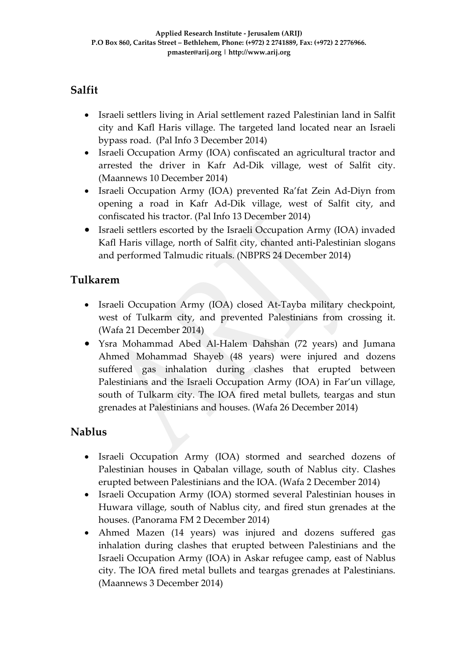## **Salfit**

- Israeli settlers living in Arial settlement razed Palestinian land in Salfit city and Kafl Haris village. The targeted land located near an Israeli bypass road. (Pal Info 3 December 2014)
- Israeli Occupation Army (IOA) confiscated an agricultural tractor and arrested the driver in Kafr Ad-Dik village, west of Salfit city. (Maannews 10 December 2014)
- Israeli Occupation Army (IOA) prevented Ra'fat Zein Ad-Diyn from opening a road in Kafr Ad-Dik village, west of Salfit city, and confiscated his tractor. (Pal Info 13 December 2014)
- Israeli settlers escorted by the Israeli Occupation Army (IOA) invaded Kafl Haris village, north of Salfit city, chanted anti-Palestinian slogans and performed Talmudic rituals. (NBPRS 24 December 2014)

### **Tulkarem**

- Israeli Occupation Army (IOA) closed At-Tayba military checkpoint, west of Tulkarm city, and prevented Palestinians from crossing it. (Wafa 21 December 2014)
- Ysra Mohammad Abed Al-Halem Dahshan (72 years) and Jumana Ahmed Mohammad Shayeb (48 years) were injured and dozens suffered gas inhalation during clashes that erupted between Palestinians and the Israeli Occupation Army (IOA) in Far'un village, south of Tulkarm city. The IOA fired metal bullets, teargas and stun grenades at Palestinians and houses. (Wafa 26 December 2014)

### **Nablus**

- Israeli Occupation Army (IOA) stormed and searched dozens of Palestinian houses in Qabalan village, south of Nablus city. Clashes erupted between Palestinians and the IOA. (Wafa 2 December 2014)
- Israeli Occupation Army (IOA) stormed several Palestinian houses in Huwara village, south of Nablus city, and fired stun grenades at the houses. (Panorama FM 2 December 2014)
- Ahmed Mazen (14 years) was injured and dozens suffered gas inhalation during clashes that erupted between Palestinians and the Israeli Occupation Army (IOA) in Askar refugee camp, east of Nablus city. The IOA fired metal bullets and teargas grenades at Palestinians. (Maannews 3 December 2014)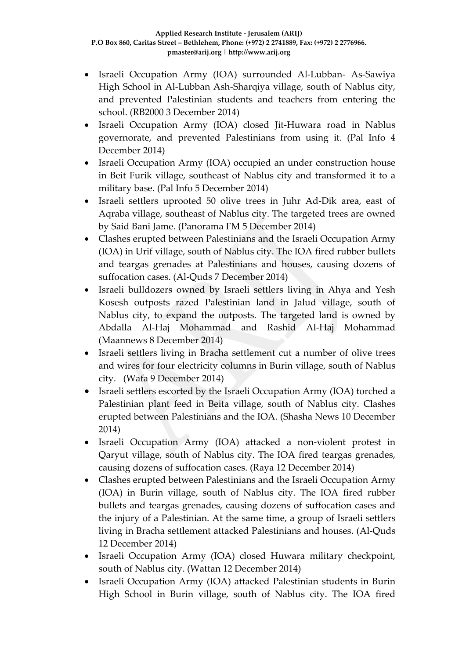- Israeli Occupation Army (IOA) surrounded Al-Lubban- As-Sawiya High School in Al-Lubban Ash-Sharqiya village, south of Nablus city, and prevented Palestinian students and teachers from entering the school. (RB2000 3 December 2014)
- Israeli Occupation Army (IOA) closed Jit-Huwara road in Nablus governorate, and prevented Palestinians from using it. (Pal Info 4 December 2014)
- Israeli Occupation Army (IOA) occupied an under construction house in Beit Furik village, southeast of Nablus city and transformed it to a military base. (Pal Info 5 December 2014)
- Israeli settlers uprooted 50 olive trees in Juhr Ad-Dik area, east of Aqraba village, southeast of Nablus city. The targeted trees are owned by Said Bani Jame. (Panorama FM 5 December 2014)
- Clashes erupted between Palestinians and the Israeli Occupation Army (IOA) in Urif village, south of Nablus city. The IOA fired rubber bullets and teargas grenades at Palestinians and houses, causing dozens of suffocation cases. (Al-Quds 7 December 2014)
- Israeli bulldozers owned by Israeli settlers living in Ahya and Yesh Kosesh outposts razed Palestinian land in Jalud village, south of Nablus city, to expand the outposts. The targeted land is owned by Abdalla Al-Haj Mohammad and Rashid Al-Haj Mohammad (Maannews 8 December 2014)
- Israeli settlers living in Bracha settlement cut a number of olive trees and wires for four electricity columns in Burin village, south of Nablus city. (Wafa 9 December 2014)
- Israeli settlers escorted by the Israeli Occupation Army (IOA) torched a Palestinian plant feed in Beita village, south of Nablus city. Clashes erupted between Palestinians and the IOA. (Shasha News 10 December 2014)
- Israeli Occupation Army (IOA) attacked a non-violent protest in Qaryut village, south of Nablus city. The IOA fired teargas grenades, causing dozens of suffocation cases. (Raya 12 December 2014)
- Clashes erupted between Palestinians and the Israeli Occupation Army (IOA) in Burin village, south of Nablus city. The IOA fired rubber bullets and teargas grenades, causing dozens of suffocation cases and the injury of a Palestinian. At the same time, a group of Israeli settlers living in Bracha settlement attacked Palestinians and houses. (Al-Quds 12 December 2014)
- Israeli Occupation Army (IOA) closed Huwara military checkpoint, south of Nablus city. (Wattan 12 December 2014)
- Israeli Occupation Army (IOA) attacked Palestinian students in Burin High School in Burin village, south of Nablus city. The IOA fired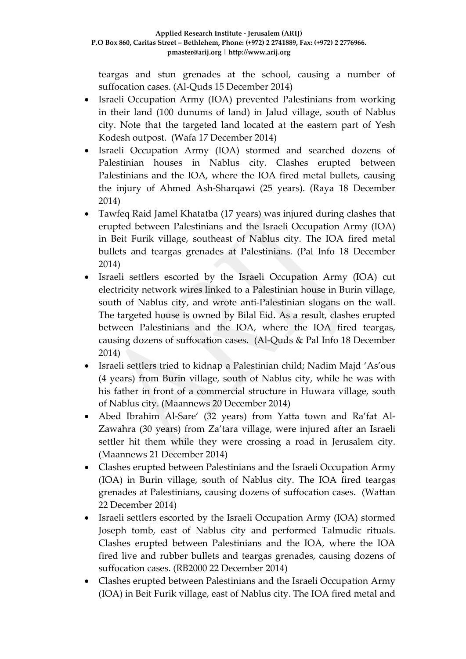teargas and stun grenades at the school, causing a number of suffocation cases. (Al-Quds 15 December 2014)

- Israeli Occupation Army (IOA) prevented Palestinians from working in their land (100 dunums of land) in Jalud village, south of Nablus city. Note that the targeted land located at the eastern part of Yesh Kodesh outpost. (Wafa 17 December 2014)
- Israeli Occupation Army (IOA) stormed and searched dozens of Palestinian houses in Nablus city. Clashes erupted between Palestinians and the IOA, where the IOA fired metal bullets, causing the injury of Ahmed Ash-Sharqawi (25 years). (Raya 18 December 2014)
- Tawfeq Raid Jamel Khatatba (17 years) was injured during clashes that erupted between Palestinians and the Israeli Occupation Army (IOA) in Beit Furik village, southeast of Nablus city. The IOA fired metal bullets and teargas grenades at Palestinians. (Pal Info 18 December 2014)
- Israeli settlers escorted by the Israeli Occupation Army (IOA) cut electricity network wires linked to a Palestinian house in Burin village, south of Nablus city, and wrote anti-Palestinian slogans on the wall. The targeted house is owned by Bilal Eid. As a result, clashes erupted between Palestinians and the IOA, where the IOA fired teargas, causing dozens of suffocation cases. (Al-Quds & Pal Info 18 December 2014)
- Israeli settlers tried to kidnap a Palestinian child; Nadim Majd 'As'ous (4 years) from Burin village, south of Nablus city, while he was with his father in front of a commercial structure in Huwara village, south of Nablus city. (Maannews 20 December 2014)
- Abed Ibrahim Al-Sare' (32 years) from Yatta town and Ra'fat Al-Zawahra (30 years) from Za'tara village, were injured after an Israeli settler hit them while they were crossing a road in Jerusalem city. (Maannews 21 December 2014)
- Clashes erupted between Palestinians and the Israeli Occupation Army (IOA) in Burin village, south of Nablus city. The IOA fired teargas grenades at Palestinians, causing dozens of suffocation cases. (Wattan 22 December 2014)
- Israeli settlers escorted by the Israeli Occupation Army (IOA) stormed Joseph tomb, east of Nablus city and performed Talmudic rituals. Clashes erupted between Palestinians and the IOA, where the IOA fired live and rubber bullets and teargas grenades, causing dozens of suffocation cases. (RB2000 22 December 2014)
- Clashes erupted between Palestinians and the Israeli Occupation Army (IOA) in Beit Furik village, east of Nablus city. The IOA fired metal and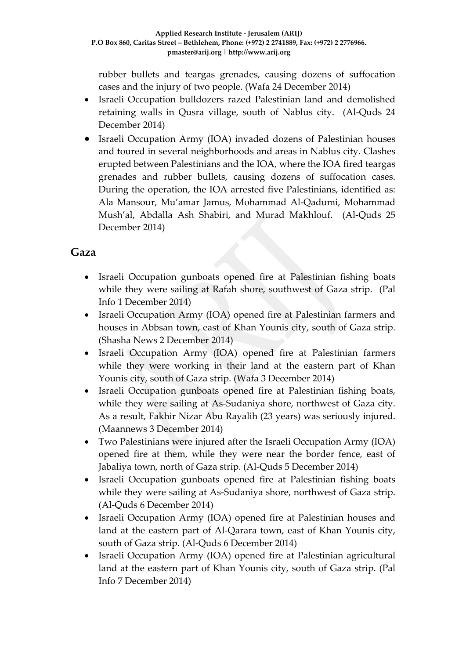rubber bullets and teargas grenades, causing dozens of suffocation cases and the injury of two people. (Wafa 24 December 2014)

- Israeli Occupation bulldozers razed Palestinian land and demolished retaining walls in Qusra village, south of Nablus city. (Al-Quds 24 December 2014)
- Israeli Occupation Army (IOA) invaded dozens of Palestinian houses and toured in several neighborhoods and areas in Nablus city. Clashes erupted between Palestinians and the IOA, where the IOA fired teargas grenades and rubber bullets, causing dozens of suffocation cases. During the operation, the IOA arrested five Palestinians, identified as: Ala Mansour, Mu'amar Jamus, Mohammad Al-Qadumi, Mohammad Mush'al, Abdalla Ash Shabiri, and Murad Makhlouf. (Al-Quds 25 December 2014)

### **Gaza**

- Israeli Occupation gunboats opened fire at Palestinian fishing boats while they were sailing at Rafah shore, southwest of Gaza strip. (Pal Info 1 December 2014)
- Israeli Occupation Army (IOA) opened fire at Palestinian farmers and houses in Abbsan town, east of Khan Younis city, south of Gaza strip. (Shasha News 2 December 2014)
- Israeli Occupation Army (IOA) opened fire at Palestinian farmers while they were working in their land at the eastern part of Khan Younis city, south of Gaza strip. (Wafa 3 December 2014)
- Israeli Occupation gunboats opened fire at Palestinian fishing boats, while they were sailing at As-Sudaniya shore, northwest of Gaza city. As a result, Fakhir Nizar Abu Rayalih (23 years) was seriously injured. (Maannews 3 December 2014)
- Two Palestinians were injured after the Israeli Occupation Army (IOA) opened fire at them, while they were near the border fence, east of Jabaliya town, north of Gaza strip. (Al-Quds 5 December 2014)
- Israeli Occupation gunboats opened fire at Palestinian fishing boats while they were sailing at As-Sudaniya shore, northwest of Gaza strip. (Al-Quds 6 December 2014)
- Israeli Occupation Army (IOA) opened fire at Palestinian houses and land at the eastern part of Al-Qarara town, east of Khan Younis city, south of Gaza strip. (Al-Quds 6 December 2014)
- Israeli Occupation Army (IOA) opened fire at Palestinian agricultural land at the eastern part of Khan Younis city, south of Gaza strip. (Pal Info 7 December 2014)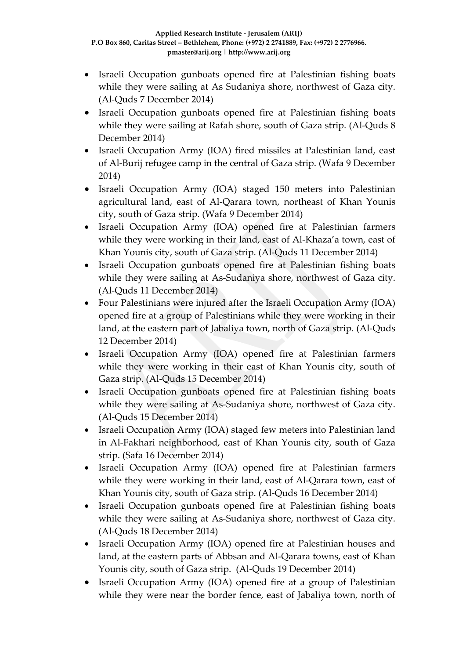- Israeli Occupation gunboats opened fire at Palestinian fishing boats while they were sailing at As Sudaniya shore, northwest of Gaza city. (Al-Quds 7 December 2014)
- Israeli Occupation gunboats opened fire at Palestinian fishing boats while they were sailing at Rafah shore, south of Gaza strip. (Al-Quds 8 December 2014)
- Israeli Occupation Army (IOA) fired missiles at Palestinian land, east of Al-Burij refugee camp in the central of Gaza strip. (Wafa 9 December 2014)
- Israeli Occupation Army (IOA) staged 150 meters into Palestinian agricultural land, east of Al-Qarara town, northeast of Khan Younis city, south of Gaza strip. (Wafa 9 December 2014)
- Israeli Occupation Army (IOA) opened fire at Palestinian farmers while they were working in their land, east of Al-Khaza'a town, east of Khan Younis city, south of Gaza strip. (Al-Quds 11 December 2014)
- Israeli Occupation gunboats opened fire at Palestinian fishing boats while they were sailing at As-Sudaniya shore, northwest of Gaza city. (Al-Quds 11 December 2014)
- Four Palestinians were injured after the Israeli Occupation Army (IOA) opened fire at a group of Palestinians while they were working in their land, at the eastern part of Jabaliya town, north of Gaza strip. (Al-Quds 12 December 2014)
- Israeli Occupation Army (IOA) opened fire at Palestinian farmers while they were working in their east of Khan Younis city, south of Gaza strip. (Al-Quds 15 December 2014)
- Israeli Occupation gunboats opened fire at Palestinian fishing boats while they were sailing at As-Sudaniya shore, northwest of Gaza city. (Al-Quds 15 December 2014)
- Israeli Occupation Army (IOA) staged few meters into Palestinian land in Al-Fakhari neighborhood, east of Khan Younis city, south of Gaza strip. (Safa 16 December 2014)
- Israeli Occupation Army (IOA) opened fire at Palestinian farmers while they were working in their land, east of Al-Qarara town, east of Khan Younis city, south of Gaza strip. (Al-Quds 16 December 2014)
- Israeli Occupation gunboats opened fire at Palestinian fishing boats while they were sailing at As-Sudaniya shore, northwest of Gaza city. (Al-Quds 18 December 2014)
- Israeli Occupation Army (IOA) opened fire at Palestinian houses and land, at the eastern parts of Abbsan and Al-Qarara towns, east of Khan Younis city, south of Gaza strip. (Al-Quds 19 December 2014)
- Israeli Occupation Army (IOA) opened fire at a group of Palestinian while they were near the border fence, east of Jabaliya town, north of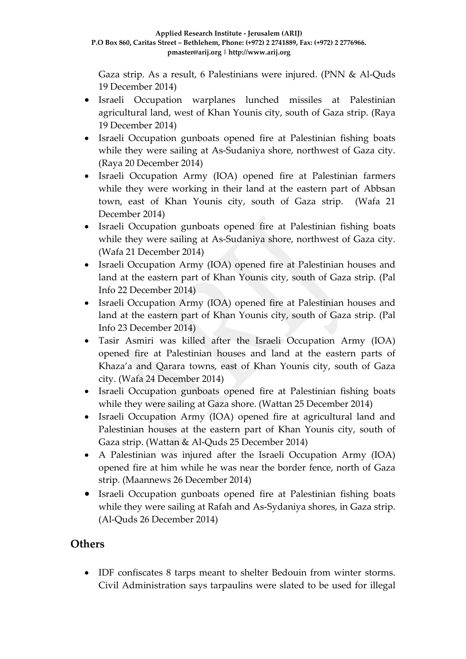Gaza strip. As a result, 6 Palestinians were injured. (PNN & Al-Quds 19 December 2014)

- Israeli Occupation warplanes lunched missiles at Palestinian agricultural land, west of Khan Younis city, south of Gaza strip. (Raya 19 December 2014)
- Israeli Occupation gunboats opened fire at Palestinian fishing boats while they were sailing at As-Sudaniya shore, northwest of Gaza city. (Raya 20 December 2014)
- Israeli Occupation Army (IOA) opened fire at Palestinian farmers while they were working in their land at the eastern part of Abbsan town, east of Khan Younis city, south of Gaza strip. (Wafa 21 December 2014)
- Israeli Occupation gunboats opened fire at Palestinian fishing boats while they were sailing at As-Sudaniya shore, northwest of Gaza city. (Wafa 21 December 2014)
- Israeli Occupation Army (IOA) opened fire at Palestinian houses and land at the eastern part of Khan Younis city, south of Gaza strip. (Pal Info 22 December 2014)
- Israeli Occupation Army (IOA) opened fire at Palestinian houses and land at the eastern part of Khan Younis city, south of Gaza strip. (Pal Info 23 December 2014)
- Tasir Asmiri was killed after the Israeli Occupation Army (IOA) opened fire at Palestinian houses and land at the eastern parts of Khaza'a and Qarara towns, east of Khan Younis city, south of Gaza city. (Wafa 24 December 2014)
- Israeli Occupation gunboats opened fire at Palestinian fishing boats while they were sailing at Gaza shore. (Wattan 25 December 2014)
- Israeli Occupation Army (IOA) opened fire at agricultural land and Palestinian houses at the eastern part of Khan Younis city, south of Gaza strip. (Wattan & Al-Quds 25 December 2014)
- A Palestinian was injured after the Israeli Occupation Army (IOA) opened fire at him while he was near the border fence, north of Gaza strip. (Maannews 26 December 2014)
- Israeli Occupation gunboats opened fire at Palestinian fishing boats while they were sailing at Rafah and As-Sydaniya shores, in Gaza strip. (Al-Quds 26 December 2014)

### **Others**

• IDF confiscates 8 tarps meant to shelter Bedouin from winter storms. Civil Administration says tarpaulins were slated to be used for illegal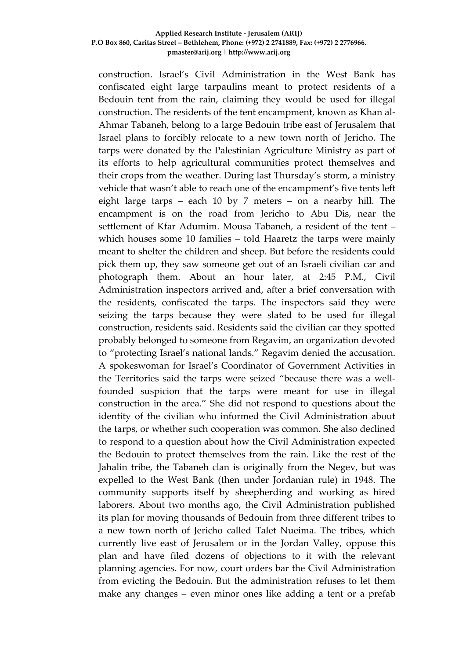construction. Israel's Civil Administration in the West Bank has confiscated eight large tarpaulins meant to protect residents of a Bedouin tent from the rain, claiming they would be used for illegal construction. The residents of the tent encampment, known as Khan al-Ahmar Tabaneh, belong to a large Bedouin tribe east of Jerusalem that Israel plans to forcibly relocate to a new town north of Jericho. The tarps were donated by the Palestinian Agriculture Ministry as part of its efforts to help agricultural communities protect themselves and their crops from the weather. During last Thursday's storm, a ministry vehicle that wasn't able to reach one of the encampment's five tents left eight large tarps – each 10 by 7 meters – on a nearby hill. The encampment is on the road from Jericho to Abu Dis, near the settlement of Kfar Adumim. Mousa Tabaneh, a resident of the tent – which houses some 10 families – told Haaretz the tarps were mainly meant to shelter the children and sheep. But before the residents could pick them up, they saw someone get out of an Israeli civilian car and photograph them. About an hour later, at 2:45 P.M., Civil Administration inspectors arrived and, after a brief conversation with the residents, confiscated the tarps. The inspectors said they were seizing the tarps because they were slated to be used for illegal construction, residents said. Residents said the civilian car they spotted probably belonged to someone from Regavim, an organization devoted to "protecting Israel's national lands." Regavim denied the accusation. A spokeswoman for Israel's Coordinator of Government Activities in the Territories said the tarps were seized "because there was a wellfounded suspicion that the tarps were meant for use in illegal construction in the area." She did not respond to questions about the identity of the civilian who informed the Civil Administration about the tarps, or whether such cooperation was common. She also declined to respond to a question about how the Civil Administration expected the Bedouin to protect themselves from the rain. Like the rest of the Jahalin tribe, the Tabaneh clan is originally from the Negev, but was expelled to the West Bank (then under Jordanian rule) in 1948. The community supports itself by sheepherding and working as hired laborers. About two months ago, the Civil Administration published its plan for moving thousands of Bedouin from three different tribes to a new town north of Jericho called Talet Nueima. The tribes, which currently live east of Jerusalem or in the Jordan Valley, oppose this plan and have filed dozens of objections to it with the relevant planning agencies. For now, court orders bar the Civil Administration from evicting the Bedouin. But the administration refuses to let them make any changes – even minor ones like adding a tent or a prefab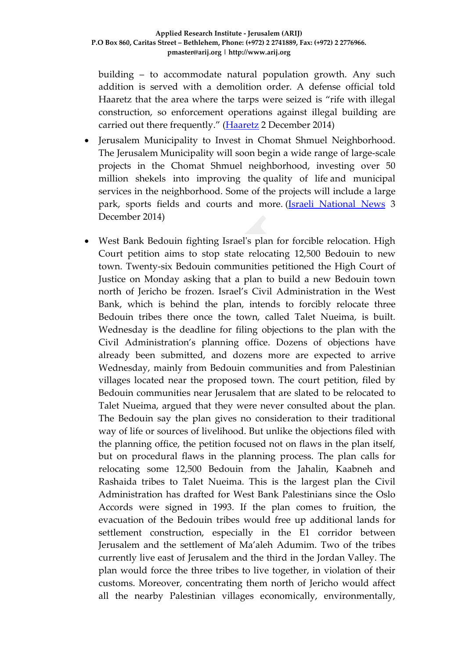building – to accommodate natural population growth. Any such addition is served with a demolition order. A defense official told Haaretz that the area where the tarps were seized is "rife with illegal construction, so enforcement operations against illegal building are carried out there frequently." [\(Haaretz](http://www.haaretz.com/news/diplomacy-defense/.premium-1.629483) 2 December 2014)

- Jerusalem Municipality to Invest in Chomat Shmuel Neighborhood. The Jerusalem Municipality will soon begin a wide range of large-scale projects in the Chomat Shmuel neighborhood, investing over 50 million shekels into improving the quality of life and municipal services in the neighborhood. Some of the projects will include a large park, sports fields and courts and more. [\(Israeli National News](http://www.israelnationalnews.com/News/Flash.aspx/310720%23.VH73mjGUepc) 3 December 2014)
- West Bank Bedouin fighting Israel's plan for forcible relocation. High Court petition aims to stop state relocating 12,500 Bedouin to new town. Twenty-six Bedouin communities petitioned the High Court of Justice on Monday asking that a plan to build a new Bedouin town north of Jericho be frozen. Israel's Civil Administration in the West Bank, which is behind the plan, intends to forcibly relocate three Bedouin tribes there once the town, called Talet Nueima, is built. Wednesday is the deadline for filing objections to the plan with the Civil Administration's planning office. Dozens of objections have already been submitted, and dozens more are expected to arrive Wednesday, mainly from Bedouin communities and from Palestinian villages located near the proposed town. The court petition, filed by Bedouin communities near Jerusalem that are slated to be relocated to Talet Nueima, argued that they were never consulted about the plan. The Bedouin say the plan gives no consideration to their traditional way of life or sources of livelihood. But unlike the objections filed with the planning office, the petition focused not on flaws in the plan itself, but on procedural flaws in the planning process. The plan calls for relocating some 12,500 Bedouin from the Jahalin, Kaabneh and Rashaida tribes to Talet Nueima. This is the largest plan the Civil Administration has drafted for West Bank Palestinians since the Oslo Accords were signed in 1993. If the plan comes to fruition, the evacuation of the Bedouin tribes would free up additional lands for settlement construction, especially in the E1 corridor between Jerusalem and the settlement of Ma'aleh Adumim. Two of the tribes currently live east of Jerusalem and the third in the Jordan Valley. The plan would force the three tribes to live together, in violation of their customs. Moreover, concentrating them north of Jericho would affect all the nearby Palestinian villages economically, environmentally,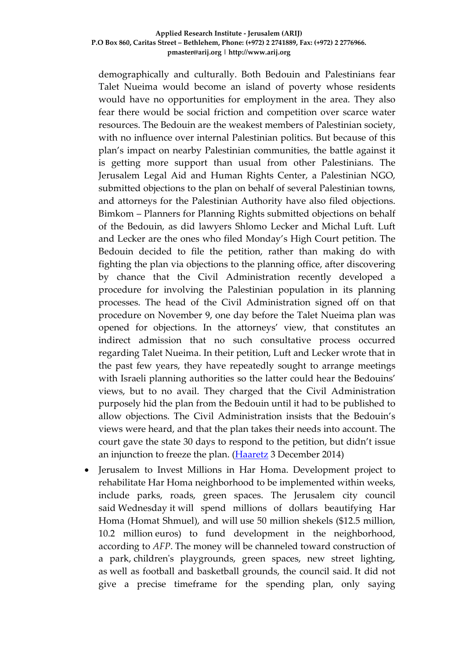demographically and culturally. Both Bedouin and Palestinians fear Talet Nueima would become an island of poverty whose residents would have no opportunities for employment in the area. They also fear there would be social friction and competition over scarce water resources. The Bedouin are the weakest members of Palestinian society, with no influence over internal Palestinian politics. But because of this plan's impact on nearby Palestinian communities, the battle against it is getting more support than usual from other Palestinians. The Jerusalem Legal Aid and Human Rights Center, a Palestinian NGO, submitted objections to the plan on behalf of several Palestinian towns, and attorneys for the Palestinian Authority have also filed objections. Bimkom – Planners for Planning Rights submitted objections on behalf of the Bedouin, as did lawyers Shlomo Lecker and Michal Luft. Luft and Lecker are the ones who filed Monday's High Court petition. The Bedouin decided to file the petition, rather than making do with fighting the plan via objections to the planning office, after discovering by chance that the Civil Administration recently developed a procedure for involving the Palestinian population in its planning processes. The head of the Civil Administration signed off on that procedure on November 9, one day before the Talet Nueima plan was opened for objections. In the attorneys' view, that constitutes an indirect admission that no such consultative process occurred regarding Talet Nueima. In their petition, Luft and Lecker wrote that in the past few years, they have repeatedly sought to arrange meetings with Israeli planning authorities so the latter could hear the Bedouins' views, but to no avail. They charged that the Civil Administration purposely hid the plan from the Bedouin until it had to be published to allow objections. The Civil Administration insists that the Bedouin's views were heard, and that the plan takes their needs into account. The court gave the state 30 days to respond to the petition, but didn't issue an injunction to freeze the plan. [\(Haaretz](http://www.haaretz.com/news/middle-east/.premium-1.629715) 3 December 2014)

• Jerusalem to Invest Millions in Har Homa. Development project to rehabilitate Har Homa neighborhood to be implemented within weeks, include parks, roads, green spaces. The Jerusalem city council said Wednesday it will spend millions of dollars beautifying Har Homa (Homat Shmuel), and will use 50 million shekels (\$12.5 million, 10.2 million euros) to fund development in the neighborhood, according to *AFP*. The money will be channeled toward construction of a park, children's playgrounds, green spaces, new street lighting, as well as football and basketball grounds, the council said. It did not give a precise timeframe for the spending plan, only saying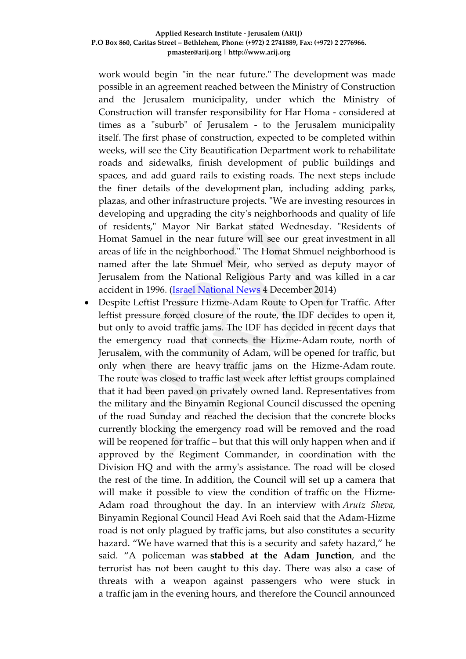work would begin "in the near future." The development was made possible in an agreement reached between the Ministry of Construction and the Jerusalem municipality, under which the Ministry of Construction will transfer responsibility for Har Homa - considered at times as a "suburb" of Jerusalem - to the Jerusalem municipality itself. The first phase of construction, expected to be completed within weeks, will see the City Beautification Department work to rehabilitate roads and sidewalks, finish development of public buildings and spaces, and add guard rails to existing roads. The next steps include the finer details of the development plan, including adding parks, plazas, and other infrastructure projects. "We are investing resources in developing and upgrading the city's neighborhoods and quality of life of residents," Mayor Nir Barkat stated Wednesday. "Residents of Homat Samuel in the near future will see our great investment in all areas of life in the neighborhood." The Homat Shmuel neighborhood is named after the late Shmuel Meir, who served as deputy mayor of Jerusalem from the National Religious Party and was killed in a car accident in 1996. [\(Israel National News](http://www.israelnationalnews.com/News/News.aspx/188200%23.VH_7qDGUepc) 4 December 2014)

• Despite Leftist Pressure Hizme-Adam Route to Open for Traffic. After leftist pressure forced closure of the route, the IDF decides to open it, but only to avoid traffic jams. The IDF has decided in recent days that the emergency road that connects the Hizme-Adam route, north of Jerusalem, with the community of Adam, will be opened for traffic, but only when there are heavy traffic jams on the Hizme-Adam route. The route was closed to traffic last week after leftist groups complained that it had been paved on privately owned land. Representatives from the military and the Binyamin Regional Council discussed the opening of the road Sunday and reached the decision that the concrete blocks currently blocking the emergency road will be removed and the road will be reopened for traffic – but that this will only happen when and if approved by the Regiment Commander, in coordination with the Division HQ and with the army's assistance. The road will be closed the rest of the time. In addition, the Council will set up a camera that will make it possible to view the condition of traffic on the Hizme-Adam road throughout the day. In an interview with *Arutz Sheva*, Binyamin Regional Council Head Avi Roeh said that the Adam-Hizme road is not only plagued by traffic jams, but also constitutes a security hazard. "We have warned that this is a security and safety hazard," he said. "A policeman was **[stabbed at the Adam Junction](http://www.israelnationalnews.com/News/News.aspx/175537)**, and the terrorist has not been caught to this day. There was also a case of threats with a weapon against passengers who were stuck in a traffic jam in the evening hours, and therefore the Council announced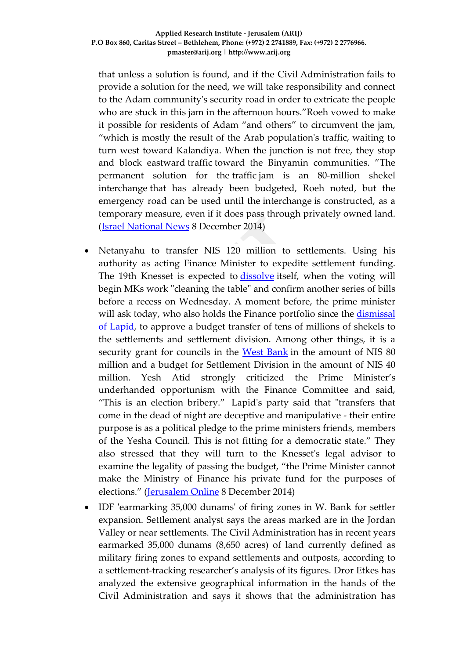that unless a solution is found, and if the Civil Administration fails to provide a solution for the need, we will take responsibility and connect to the Adam community's security road in order to extricate the people who are stuck in this jam in the afternoon hours."Roeh vowed to make it possible for residents of Adam "and others" to circumvent the jam, "which is mostly the result of the Arab population's traffic, waiting to turn west toward Kalandiya. When the junction is not free, they stop and block eastward traffic toward the Binyamin communities. "The permanent solution for the traffic jam is an 80-million shekel interchange that has already been budgeted, Roeh noted, but the emergency road can be used until the interchange is constructed, as a temporary measure, even if it does pass through privately owned land. [\(Israel National News](http://www.israelnationalnews.com/News/News.aspx/188372%23.VIWLPzGUepc) 8 December 2014)

- Netanyahu to transfer NIS 120 million to settlements. Using his authority as acting Finance Minister to expedite settlement funding. The 19th Knesset is expected to [dissolve](http://www.jerusalemonline.com/news/politics-and-military/politics/knesset-approves-early-dissolving-motion-9884) itself, when the voting will begin MKs work "cleaning the table" and confirm another series of bills before a recess on Wednesday. A moment before, the prime minister will ask today, who also holds the Finance portfolio since the [dismissal](http://www.jerusalemonline.com/news/politics-and-military/politics/netanyahu-considering-firing-livni-lapid-and-yesh-atid-ministers-9865) of [Lapid,](http://www.jerusalemonline.com/news/politics-and-military/politics/netanyahu-considering-firing-livni-lapid-and-yesh-atid-ministers-9865) to approve a budget transfer of tens of millions of shekels to the settlements and settlement division. Among other things, it is a security grant for councils in the West [Bank](http://www.jerusalemonline.com/general/search-results?cx=partner-pub-6757577162258325%3A8715388293&cof=FORID%3A10&ie=UTF-8&Q=west+bank&sa=&siteurl=http%3A%2F%2Fwww.jerusalemonline.com%2Fnews%2Fpolitics-and-military%2Fpolitics%2Fnetanyahu-considering-firing-livni-lapid-and-yesh-atid-ministers-9865) in the amount of NIS 80 million and a budget for Settlement Division in the amount of NIS 40 million. Yesh Atid strongly criticized the Prime Minister's underhanded opportunism with the Finance Committee and said, "This is an election bribery." Lapid's party said that "transfers that come in the dead of night are deceptive and manipulative - their entire purpose is as a political pledge to the prime ministers friends, members of the Yesha Council. This is not fitting for a democratic state." They also stressed that they will turn to the Knesset's legal advisor to examine the legality of passing the budget, "the Prime Minister cannot make the Ministry of Finance his private fund for the purposes of elections." [\(Jerusalem](http://www.jerusalemonline.com/news/politics-and-military/politics/netanyahu-to-transfer-nis-120-million-to-settlements-9977?utm_source=contactology&utm_medium=email&utm_campaign=MidDayNewsletter) Online 8 December 2014)
- IDF 'earmarking 35,000 dunams' of firing zones in W. Bank for settler expansion. Settlement analyst says the areas marked are in the Jordan Valley or near settlements. The Civil Administration has in recent years earmarked 35,000 dunams (8,650 acres) of land currently defined as military firing zones to expand settlements and outposts, according to a settlement-tracking researcher's analysis of its figures. Dror Etkes has analyzed the extensive geographical information in the hands of the Civil Administration and says it shows that the administration has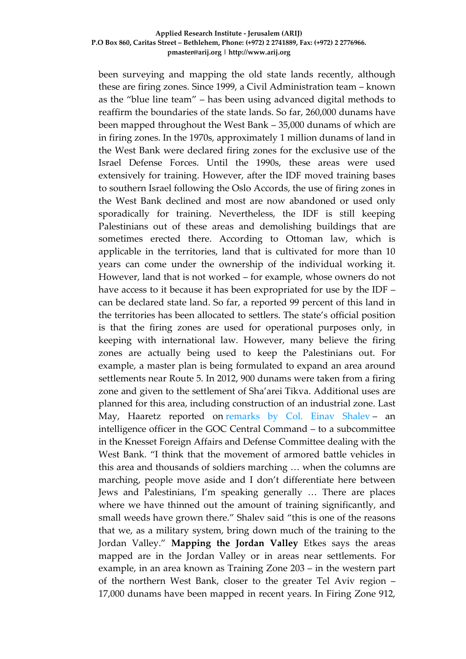been surveying and mapping the old state lands recently, although these are firing zones. Since 1999, a Civil Administration team – known as the "blue line team" – has been using advanced digital methods to reaffirm the boundaries of the state lands. So far, 260,000 dunams have been mapped throughout the West Bank – 35,000 dunams of which are in firing zones. In the 1970s, approximately 1 million dunams of land in the West Bank were declared firing zones for the exclusive use of the Israel Defense Forces. Until the 1990s, these areas were used extensively for training. However, after the IDF moved training bases to southern Israel following the Oslo Accords, the use of firing zones in the West Bank declined and most are now abandoned or used only sporadically for training. Nevertheless, the IDF is still keeping Palestinians out of these areas and demolishing buildings that are sometimes erected there. According to Ottoman law, which is applicable in the territories, land that is cultivated for more than 10 years can come under the ownership of the individual working it. However, land that is not worked – for example, whose owners do not have access to it because it has been expropriated for use by the IDF – can be declared state land. So far, a reported 99 percent of this land in the territories has been allocated to settlers. The state's official position is that the firing zones are used for operational purposes only, in keeping with international law. However, many believe the firing zones are actually being used to keep the Palestinians out. For example, a master plan is being formulated to expand an area around settlements near Route 5. In 2012, 900 dunams were taken from a firing zone and given to the settlement of Sha'arei Tikva. Additional uses are planned for this area, including construction of an industrial zone. Last May, Haaretz reported on [remarks by Col. Einav Shalev](http://www.haaretz.com/news/diplomacy-defense/.premium-1.591881) - an intelligence officer in the GOC Central Command – to a subcommittee in the Knesset Foreign Affairs and Defense Committee dealing with the West Bank. "I think that the movement of armored battle vehicles in this area and thousands of soldiers marching … when the columns are marching, people move aside and I don't differentiate here between Jews and Palestinians, I'm speaking generally … There are places where we have thinned out the amount of training significantly, and small weeds have grown there." Shalev said "this is one of the reasons that we, as a military system, bring down much of the training to the Jordan Valley." **Mapping the Jordan Valley** Etkes says the areas mapped are in the Jordan Valley or in areas near settlements. For example, in an area known as Training Zone 203 – in the western part of the northern West Bank, closer to the greater Tel Aviv region – 17,000 dunams have been mapped in recent years. In Firing Zone 912,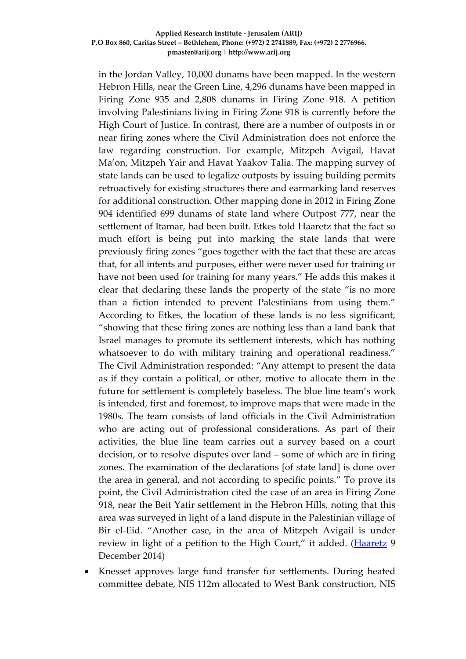in the Jordan Valley, 10,000 dunams have been mapped. In the western Hebron Hills, near the Green Line, 4,296 dunams have been mapped in Firing Zone 935 and 2,808 dunams in Firing Zone 918. A petition involving Palestinians living in Firing Zone 918 is currently before the High Court of Justice. In contrast, there are a number of outposts in or near firing zones where the Civil Administration does not enforce the law regarding construction. For example, Mitzpeh Avigail, Havat Ma'on, Mitzpeh Yair and Havat Yaakov Talia. The mapping survey of state lands can be used to legalize outposts by issuing building permits retroactively for existing structures there and earmarking land reserves for additional construction. Other mapping done in 2012 in Firing Zone 904 identified 699 dunams of state land where Outpost 777, near the settlement of Itamar, had been built. Etkes told Haaretz that the fact so much effort is being put into marking the state lands that were previously firing zones "goes together with the fact that these are areas that, for all intents and purposes, either were never used for training or have not been used for training for many years." He adds this makes it clear that declaring these lands the property of the state "is no more than a fiction intended to prevent Palestinians from using them." According to Etkes, the location of these lands is no less significant, "showing that these firing zones are nothing less than a land bank that Israel manages to promote its settlement interests, which has nothing whatsoever to do with military training and operational readiness." The Civil Administration responded: "Any attempt to present the data as if they contain a political, or other, motive to allocate them in the future for settlement is completely baseless. The blue line team's work is intended, first and foremost, to improve maps that were made in the 1980s. The team consists of land officials in the Civil Administration who are acting out of professional considerations. As part of their activities, the blue line team carries out a survey based on a court decision, or to resolve disputes over land – some of which are in firing zones. The examination of the declarations [of state land] is done over the area in general, and not according to specific points." To prove its point, the Civil Administration cited the case of an area in Firing Zone 918, near the Beit Yatir settlement in the Hebron Hills, noting that this area was surveyed in light of a land dispute in the Palestinian village of Bir el-Eid. "Another case, in the area of Mitzpeh Avigail is under review in light of a petition to the High Court," it added. [\(Haaretz](http://www.haaretz.com/news/national/.premium-1.630680) 9 December 2014)

• Knesset approves large fund transfer for settlements. During heated committee debate, NIS 112m allocated to West Bank construction, NIS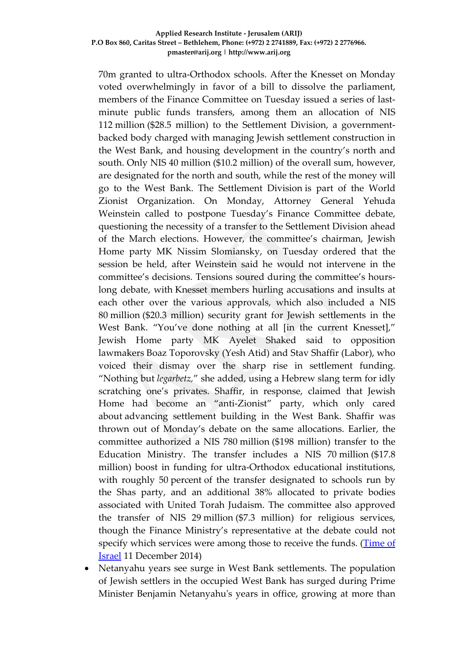70m granted to ultra-Orthodox schools. After the Knesset on Monday voted overwhelmingly in favor of a bill to dissolve the parliament, members of the Finance Committee on Tuesday issued a series of lastminute public funds transfers, among them an allocation of NIS 112 million (\$28.5 million) to the Settlement Division, a governmentbacked body charged with managing Jewish settlement construction in the West Bank, and housing development in the country's north and south. Only NIS 40 million (\$10.2 million) of the overall sum, however, are designated for the north and south, while the rest of the money will go to the West Bank. The Settlement Division is part of the World Zionist Organization. On Monday, Attorney General Yehuda Weinstein called to postpone Tuesday's Finance Committee debate, questioning the necessity of a transfer to the Settlement Division ahead of the March elections. However, the committee's chairman, Jewish Home party MK Nissim Slomiansky, on Tuesday ordered that the session be held, after Weinstein said he would not intervene in the committee's decisions. Tensions soured during the committee's hourslong debate, with Knesset members hurling accusations and insults at each other over the various approvals, which also included a NIS 80 million (\$20.3 million) security grant for Jewish settlements in the West Bank. "You've done nothing at all [in the current Knesset]," Jewish Home party MK Ayelet Shaked said to opposition lawmakers Boaz Toporovsky (Yesh Atid) and Stav Shaffir (Labor), who voiced their dismay over the sharp rise in settlement funding. "Nothing but *legarbetz,*" she added, using a Hebrew slang term for idly scratching one's privates. Shaffir, in response, claimed that Jewish Home had become an "anti-Zionist" party, which only cared about advancing settlement building in the West Bank. Shaffir was thrown out of Monday's debate on the same allocations. Earlier, the committee authorized a NIS 780 million (\$198 million) transfer to the Education Ministry. The transfer includes a NIS 70 million (\$17.8 million) boost in funding for ultra-Orthodox educational institutions, with roughly 50 percent of the transfer designated to schools run by the Shas party, and an additional 38% allocated to private bodies associated with United Torah Judaism. The committee also approved the transfer of NIS 29 million (\$7.3 million) for religious services, though the Finance Ministry's representative at the debate could not specify which services were among those to receive the funds. [\(Time of](http://www.timesofisrael.com/knesset-committee-approves-large-fund-transfer-for-settlements/)  [Israel](http://www.timesofisrael.com/knesset-committee-approves-large-fund-transfer-for-settlements/) 11 December 2014)

• Netanyahu years see surge in West Bank settlements. The population of Jewish settlers in the occupied West Bank has surged during Prime Minister Benjamin Netanyahu's years in office, growing at more than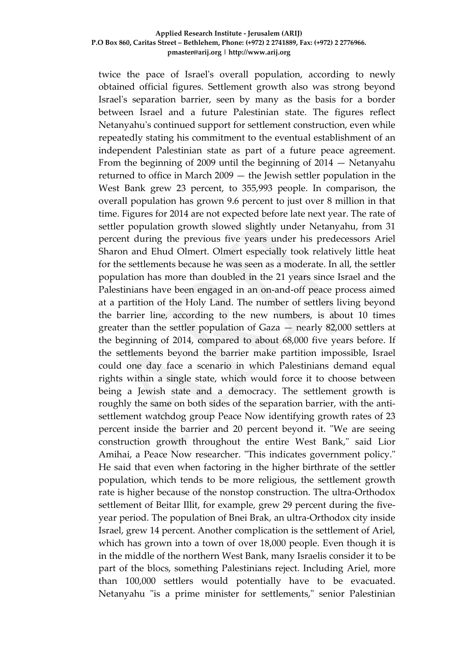twice the pace of Israel's overall population, according to newly obtained official figures. Settlement growth also was strong beyond Israel's separation barrier, seen by many as the basis for a border between Israel and a future Palestinian state. The figures reflect Netanyahu's continued support for settlement construction, even while repeatedly stating his commitment to the eventual establishment of an independent Palestinian state as part of a future peace agreement. From the beginning of 2009 until the beginning of 2014 — Netanyahu returned to office in March 2009 — the Jewish settler population in the West Bank grew 23 percent, to 355,993 people. In comparison, the overall population has grown 9.6 percent to just over 8 million in that time. Figures for 2014 are not expected before late next year. The rate of settler population growth slowed slightly under Netanyahu, from 31 percent during the previous five years under his predecessors Ariel Sharon and Ehud Olmert. Olmert especially took relatively little heat for the settlements because he was seen as a moderate. In all, the settler population has more than doubled in the 21 years since Israel and the Palestinians have been engaged in an on-and-off peace process aimed at a partition of the Holy Land. The number of settlers living beyond the barrier line, according to the new numbers, is about 10 times greater than the settler population of Gaza — nearly 82,000 settlers at the beginning of 2014, compared to about 68,000 five years before. If the settlements beyond the barrier make partition impossible, Israel could one day face a scenario in which Palestinians demand equal rights within a single state, which would force it to choose between being a Jewish state and a democracy. The settlement growth is roughly the same on both sides of the separation barrier, with the antisettlement watchdog group Peace Now identifying growth rates of 23 percent inside the barrier and 20 percent beyond it. "We are seeing construction growth throughout the entire West Bank," said Lior Amihai, a Peace Now researcher. "This indicates government policy." He said that even when factoring in the higher birthrate of the settler population, which tends to be more religious, the settlement growth rate is higher because of the nonstop construction. The ultra-Orthodox settlement of Beitar Illit, for example, grew 29 percent during the fiveyear period. The population of Bnei Brak, an ultra-Orthodox city inside Israel, grew 14 percent. Another complication is the settlement of Ariel, which has grown into a town of over 18,000 people. Even though it is in the middle of the northern West Bank, many Israelis consider it to be part of the blocs, something Palestinians reject. Including Ariel, more than 100,000 settlers would potentially have to be evacuated. Netanyahu "is a prime minister for settlements," senior Palestinian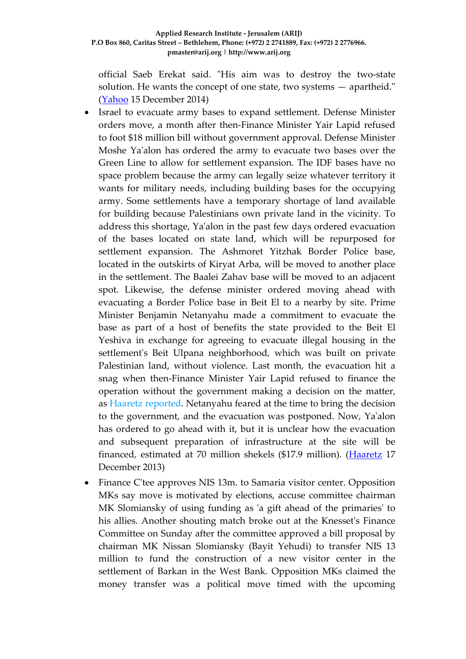official Saeb Erekat said. "His aim was to destroy the two-state solution. He wants the concept of one state, two systems — apartheid." [\(Yahoo](https://news.yahoo.com/netanyahu-years-see-surge-west-bank-settlements-075922371.html) 15 December 2014)

- Israel to evacuate army bases to expand settlement. Defense Minister orders move, a month after then-Finance Minister Yair Lapid refused to foot \$18 million bill without government approval. Defense Minister Moshe Ya'alon has ordered the army to evacuate two bases over the Green Line to allow for settlement expansion. The IDF bases have no space problem because the army can legally seize whatever territory it wants for military needs, including building bases for the occupying army. Some settlements have a temporary shortage of land available for building because Palestinians own private land in the vicinity. To address this shortage, Ya'alon in the past few days ordered evacuation of the bases located on state land, which will be repurposed for settlement expansion. The Ashmoret Yitzhak Border Police base, located in the outskirts of Kiryat Arba, will be moved to another place in the settlement. The Baalei Zahav base will be moved to an adjacent spot. Likewise, the defense minister ordered moving ahead with evacuating a Border Police base in Beit El to a nearby by site. Prime Minister Benjamin Netanyahu made a commitment to evacuate the base as part of a host of benefits the state provided to the Beit El Yeshiva in exchange for agreeing to evacuate illegal housing in the settlement's Beit Ulpana neighborhood, which was built on private Palestinian land, without violence. Last month, the evacuation hit a snag when then-Finance Minister Yair Lapid refused to finance the operation without the government making a decision on the matter, as [Haaretz reported.](http://www.haaretz.com/news/national/.premium-1.628350) Netanyahu feared at the time to bring the decision to the government, and the evacuation was postponed. Now, Ya'alon has ordered to go ahead with it, but it is unclear how the evacuation and subsequent preparation of infrastructure at the site will be financed, estimated at 70 million shekels (\$17.9 million). [\(Haaretz](http://www.haaretz.com/news/national/1.632335) 17 December 2013)
- Finance C'tee approves NIS 13m. to Samaria visitor center. Opposition MKs say move is motivated by elections, accuse committee chairman MK Slomiansky of using funding as 'a gift ahead of the primaries' to his allies. Another shouting match broke out at the Knesset's Finance Committee on Sunday after the committee approved a bill proposal by chairman MK Nissan Slomiansky (Bayit Yehudi) to transfer NIS 13 million to fund the construction of a new visitor center in the settlement of Barkan in the West Bank. Opposition MKs claimed the money transfer was a political move timed with the upcoming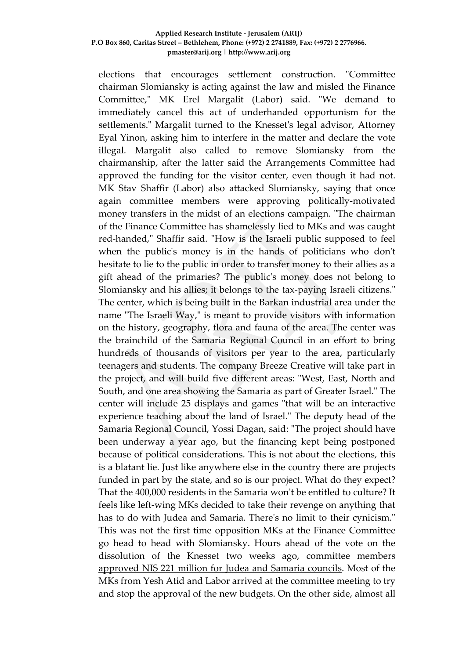elections that encourages settlement construction. "Committee chairman Slomiansky is acting against the law and misled the Finance Committee," MK Erel Margalit (Labor) said. "We demand to immediately cancel this act of underhanded opportunism for the settlements." Margalit turned to the Knesset's legal advisor, Attorney Eyal Yinon, asking him to interfere in the matter and declare the vote illegal. Margalit also called to remove Slomiansky from the chairmanship, after the latter said the Arrangements Committee had approved the funding for the visitor center, even though it had not. MK Stav Shaffir (Labor) also attacked Slomiansky, saying that once again committee members were approving politically-motivated money transfers in the midst of an elections campaign. "The chairman of the Finance Committee has shamelessly lied to MKs and was caught red-handed," Shaffir said. "How is the Israeli public supposed to feel when the public's money is in the hands of politicians who don't hesitate to lie to the public in order to transfer money to their allies as a gift ahead of the primaries? The public's money does not belong to Slomiansky and his allies; it belongs to the tax-paying Israeli citizens." The center, which is being built in the Barkan industrial area under the name "The Israeli Way," is meant to provide visitors with information on the history, geography, flora and fauna of the area. The center was the brainchild of the Samaria Regional Council in an effort to bring hundreds of thousands of visitors per year to the area, particularly teenagers and students. The company Breeze Creative will take part in the project, and will build five different areas: "West, East, North and South, and one area showing the Samaria as part of Greater Israel." The center will include 25 displays and games "that will be an interactive experience teaching about the land of Israel." The deputy head of the Samaria Regional Council, Yossi Dagan, said: "The project should have been underway a year ago, but the financing kept being postponed because of political considerations. This is not about the elections, this is a blatant lie. Just like anywhere else in the country there are projects funded in part by the state, and so is our project. What do they expect? That the 400,000 residents in the Samaria won't be entitled to culture? It feels like left-wing MKs decided to take their revenge on anything that has to do with Judea and Samaria. There's no limit to their cynicism." This was not the first time opposition MKs at the Finance Committee go head to head with Slomiansky. Hours ahead of the vote on the dissolution of the Knesset two weeks ago, committee members [approved NIS 221 million for Judea and Samaria councils.](http://www.ynetnews.com/articles/0,7340,L-4601003,00.html) Most of the MKs from Yesh Atid and Labor arrived at the committee meeting to try and stop the approval of the new budgets. On the other side, almost all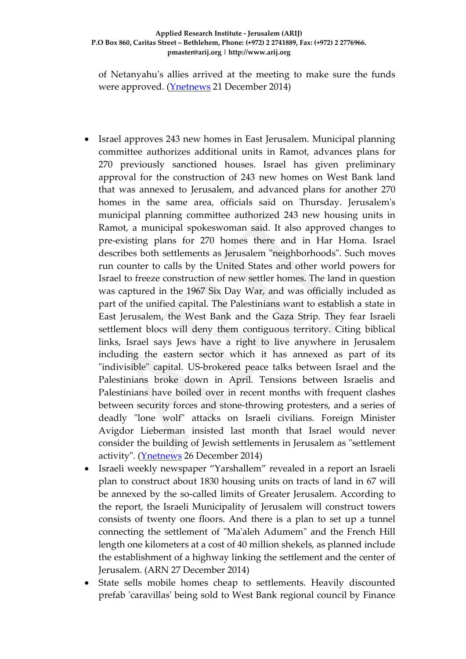of Netanyahu's allies arrived at the meeting to make sure the funds were approved. [\(Ynetnews](http://www.ynetnews.com/articles/0,7340,L-4606167,00.html) 21 December 2014)

- Israel approves 243 new homes in East Jerusalem. Municipal planning committee authorizes additional units in Ramot, advances plans for 270 previously sanctioned houses. Israel has given preliminary approval for the construction of 243 new homes on West Bank land that was annexed to Jerusalem, and advanced plans for another 270 homes in the same area, officials said on Thursday. Jerusalem's municipal planning committee authorized 243 new housing units in Ramot, a municipal spokeswoman said. It also approved changes to pre-existing plans for 270 homes there and in Har Homa. Israel describes both settlements as Jerusalem "neighborhoods". Such moves run counter to calls by the United States and other world powers for Israel to freeze construction of new settler homes. The land in question was captured in the 1967 Six Day War, and was officially included as part of the unified capital. The Palestinians want to establish a state in East Jerusalem, the West Bank and the Gaza Strip. They fear Israeli settlement blocs will deny them contiguous territory. Citing biblical links, Israel says Jews have a right to live anywhere in Jerusalem including the eastern sector which it has annexed as part of its "indivisible" capital. US-brokered peace talks between Israel and the Palestinians broke down in April. Tensions between Israelis and Palestinians have boiled over in recent months with frequent clashes between security forces and stone-throwing protesters, and a series of deadly "lone wolf" attacks on Israeli civilians. Foreign Minister Avigdor Lieberman insisted last month that Israel would never consider the building of Jewish settlements in Jerusalem as "settlement activity". [\(Ynetnews](http://www.ynetnews.com/articles/0,7340,L-4608089,00.html) 26 December 2014)
- Israeli weekly newspaper "Yarshallem" revealed in a report an Israeli plan to construct about 1830 housing units on tracts of land in 67 will be annexed by the so-called limits of Greater Jerusalem. According to the report, the Israeli Municipality of Jerusalem will construct towers consists of twenty one floors. And there is a plan to set up a tunnel connecting the settlement of "Ma'aleh Adumem" and the French Hill length one kilometers at a cost of 40 million shekels, as planned include the establishment of a highway linking the settlement and the center of Jerusalem. (ARN 27 December 2014)
- State sells mobile homes cheap to settlements. Heavily discounted prefab 'caravillas' being sold to West Bank regional council by Finance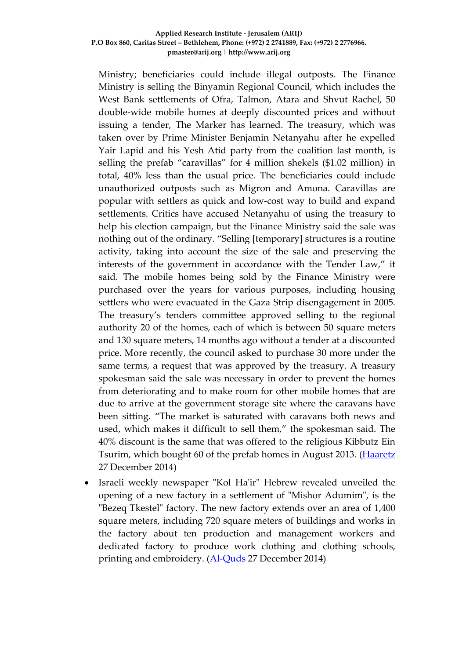Ministry; beneficiaries could include illegal outposts. The Finance Ministry is selling the Binyamin Regional Council, which includes the West Bank settlements of Ofra, Talmon, Atara and Shvut Rachel, 50 double-wide mobile homes at deeply discounted prices and without issuing a tender, The Marker has learned. The treasury, which was taken over by Prime Minister Benjamin Netanyahu after he expelled Yair Lapid and his Yesh Atid party from the coalition last month, is selling the prefab "caravillas" for 4 million shekels (\$1.02 million) in total, 40% less than the usual price. The beneficiaries could include unauthorized outposts such as Migron and Amona. Caravillas are popular with settlers as quick and low-cost way to build and expand settlements. Critics have accused Netanyahu of using the treasury to help his election campaign, but the Finance Ministry said the sale was nothing out of the ordinary. "Selling [temporary] structures is a routine activity, taking into account the size of the sale and preserving the interests of the government in accordance with the Tender Law," it said. The mobile homes being sold by the Finance Ministry were purchased over the years for various purposes, including housing settlers who were evacuated in the Gaza Strip disengagement in 2005. The treasury's tenders committee approved selling to the regional authority 20 of the homes, each of which is between 50 square meters and 130 square meters, 14 months ago without a tender at a discounted price. More recently, the council asked to purchase 30 more under the same terms, a request that was approved by the treasury. A treasury spokesman said the sale was necessary in order to prevent the homes from deteriorating and to make room for other mobile homes that are due to arrive at the government storage site where the caravans have been sitting. "The market is saturated with caravans both news and used, which makes it difficult to sell them," the spokesman said. The 40% discount is the same that was offered to the religious Kibbutz Ein Tsurim, which bought 60 of the prefab homes in August 2013. [\(Haaretz](http://www.haaretz.com/news/diplomacy-defense/.premium-1.633891) 27 December 2014)

• Israeli weekly newspaper "Kol Ha'ir" Hebrew revealed unveiled the opening of a new factory in a settlement of "Mishor Adumim", is the "Bezeq Tkestel" factory. The new factory extends over an area of 1,400 square meters, including 720 square meters of buildings and works in the factory about ten production and management workers and dedicated factory to produce work clothing and clothing schools, printing and embroidery. [\(Al-Quds](http://www.alquds.com/news/article/view/id/538952) 27 December 2014)